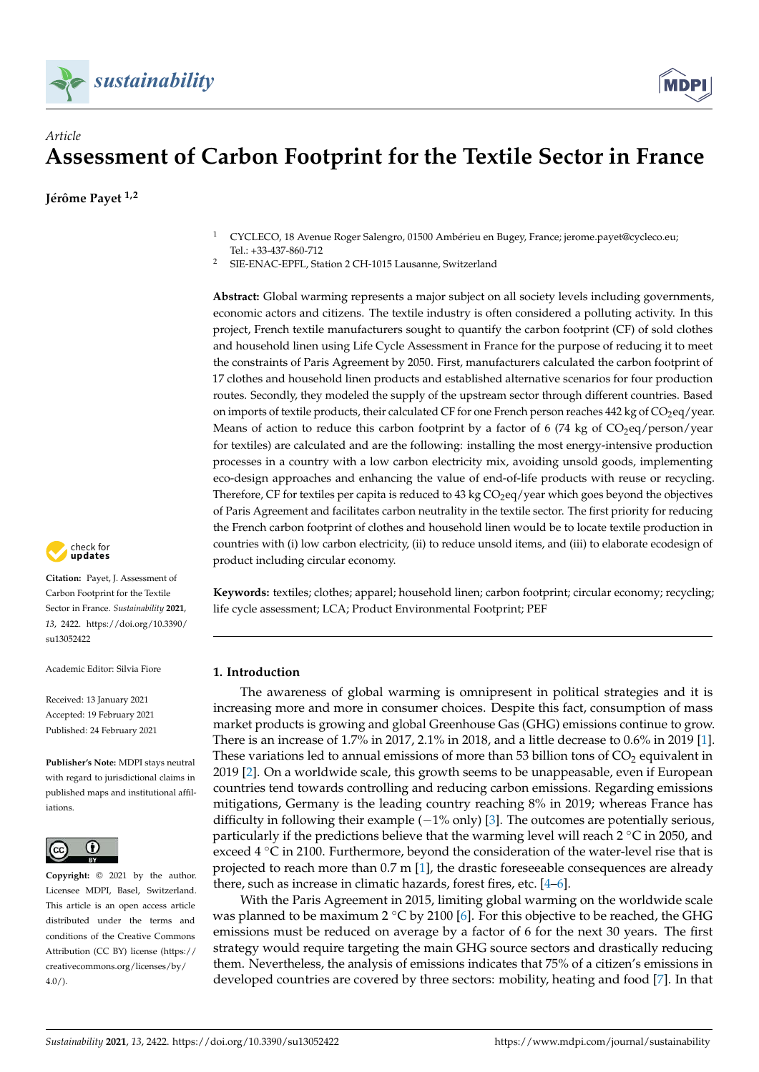



# *Article* **Assessment of Carbon Footprint for the Textile Sector in France**

**Jérôme Payet 1,2**

- <sup>1</sup> CYCLECO, 18 Avenue Roger Salengro, 01500 Ambérieu en Bugey, France; jerome.payet@cycleco.eu; Tel.: +33-437-860-712
- <sup>2</sup> SIE-ENAC-EPFL, Station 2 CH-1015 Lausanne, Switzerland

**Abstract:** Global warming represents a major subject on all society levels including governments, economic actors and citizens. The textile industry is often considered a polluting activity. In this project, French textile manufacturers sought to quantify the carbon footprint (CF) of sold clothes and household linen using Life Cycle Assessment in France for the purpose of reducing it to meet the constraints of Paris Agreement by 2050. First, manufacturers calculated the carbon footprint of 17 clothes and household linen products and established alternative scenarios for four production routes. Secondly, they modeled the supply of the upstream sector through different countries. Based on imports of textile products, their calculated CF for one French person reaches 442 kg of CO<sub>2</sub>eq/year. Means of action to reduce this carbon footprint by a factor of 6 (74 kg of  $CO<sub>2</sub>eq/person/year$ for textiles) are calculated and are the following: installing the most energy-intensive production processes in a country with a low carbon electricity mix, avoiding unsold goods, implementing eco-design approaches and enhancing the value of end-of-life products with reuse or recycling. Therefore, CF for textiles per capita is reduced to 43 kg CO<sub>2</sub>eq/year which goes beyond the objectives of Paris Agreement and facilitates carbon neutrality in the textile sector. The first priority for reducing the French carbon footprint of clothes and household linen would be to locate textile production in countries with (i) low carbon electricity, (ii) to reduce unsold items, and (iii) to elaborate ecodesign of product including circular economy.

**Keywords:** textiles; clothes; apparel; household linen; carbon footprint; circular economy; recycling; life cycle assessment; LCA; Product Environmental Footprint; PEF

# **1. Introduction**

The awareness of global warming is omnipresent in political strategies and it is increasing more and more in consumer choices. Despite this fact, consumption of mass market products is growing and global Greenhouse Gas (GHG) emissions continue to grow. There is an increase of 1.7% in 2017, 2.1% in 2018, and a little decrease to 0.6% in 2019 [\[1\]](#page-20-0). These variations led to annual emissions of more than 53 billion tons of  $CO<sub>2</sub>$  equivalent in 2019 [\[2\]](#page-20-1). On a worldwide scale, this growth seems to be unappeasable, even if European countries tend towards controlling and reducing carbon emissions. Regarding emissions mitigations, Germany is the leading country reaching 8% in 2019; whereas France has difficulty in following their example  $(-1\%$  only) [\[3\]](#page-20-2). The outcomes are potentially serious, particularly if the predictions believe that the warming level will reach  $2 \degree C$  in 2050, and exceed  $4 \degree C$  in 2100. Furthermore, beyond the consideration of the water-level rise that is projected to reach more than 0.7 m [\[1\]](#page-20-0), the drastic foreseeable consequences are already there, such as increase in climatic hazards, forest fires, etc. [\[4](#page-20-3)[–6\]](#page-20-4).

With the Paris Agreement in 2015, limiting global warming on the worldwide scale was planned to be maximum 2  $°C$  by 2100 [\[6\]](#page-20-4). For this objective to be reached, the GHG emissions must be reduced on average by a factor of 6 for the next 30 years. The first strategy would require targeting the main GHG source sectors and drastically reducing them. Nevertheless, the analysis of emissions indicates that 75% of a citizen's emissions in developed countries are covered by three sectors: mobility, heating and food [\[7\]](#page-20-5). In that



**Citation:** Payet, J. Assessment of Carbon Footprint for the Textile Sector in France. *Sustainability* **2021**, *13*, 2422. [https://doi.org/10.3390/](https://doi.org/10.3390/su13052422) [su13052422](https://doi.org/10.3390/su13052422)

Academic Editor: Silvia Fiore

Received: 13 January 2021 Accepted: 19 February 2021 Published: 24 February 2021

**Publisher's Note:** MDPI stays neutral with regard to jurisdictional claims in published maps and institutional affiliations.



**Copyright:** © 2021 by the author. Licensee MDPI, Basel, Switzerland. This article is an open access article distributed under the terms and conditions of the Creative Commons Attribution (CC BY) license (https:/[/](https://creativecommons.org/licenses/by/4.0/) [creativecommons.org/licenses/by/](https://creativecommons.org/licenses/by/4.0/) 4.0/).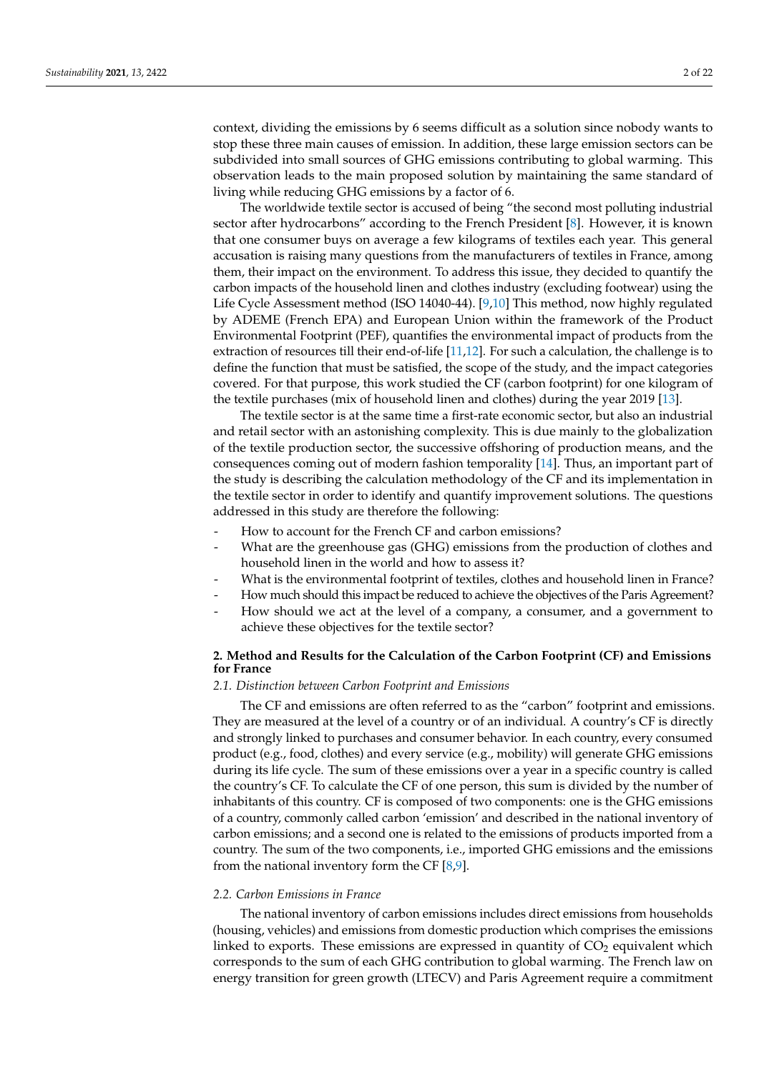context, dividing the emissions by 6 seems difficult as a solution since nobody wants to stop these three main causes of emission. In addition, these large emission sectors can be subdivided into small sources of GHG emissions contributing to global warming. This observation leads to the main proposed solution by maintaining the same standard of living while reducing GHG emissions by a factor of 6.

The worldwide textile sector is accused of being "the second most polluting industrial sector after hydrocarbons" according to the French President [\[8\]](#page-20-6). However, it is known that one consumer buys on average a few kilograms of textiles each year. This general accusation is raising many questions from the manufacturers of textiles in France, among them, their impact on the environment. To address this issue, they decided to quantify the carbon impacts of the household linen and clothes industry (excluding footwear) using the Life Cycle Assessment method (ISO 14040-44). [\[9](#page-20-7)[,10\]](#page-20-8) This method, now highly regulated by ADEME (French EPA) and European Union within the framework of the Product Environmental Footprint (PEF), quantifies the environmental impact of products from the extraction of resources till their end-of-life [\[11,](#page-20-9)[12\]](#page-20-10). For such a calculation, the challenge is to define the function that must be satisfied, the scope of the study, and the impact categories covered. For that purpose, this work studied the CF (carbon footprint) for one kilogram of the textile purchases (mix of household linen and clothes) during the year 2019 [\[13\]](#page-20-11).

The textile sector is at the same time a first-rate economic sector, but also an industrial and retail sector with an astonishing complexity. This is due mainly to the globalization of the textile production sector, the successive offshoring of production means, and the consequences coming out of modern fashion temporality [\[14\]](#page-20-12). Thus, an important part of the study is describing the calculation methodology of the CF and its implementation in the textile sector in order to identify and quantify improvement solutions. The questions addressed in this study are therefore the following:

- How to account for the French CF and carbon emissions?
- What are the greenhouse gas (GHG) emissions from the production of clothes and household linen in the world and how to assess it?
- What is the environmental footprint of textiles, clothes and household linen in France?
- How much should this impact be reduced to achieve the objectives of the Paris Agreement?
- How should we act at the level of a company, a consumer, and a government to achieve these objectives for the textile sector?

# **2. Method and Results for the Calculation of the Carbon Footprint (CF) and Emissions for France**

#### *2.1. Distinction between Carbon Footprint and Emissions*

The CF and emissions are often referred to as the "carbon" footprint and emissions. They are measured at the level of a country or of an individual. A country's CF is directly and strongly linked to purchases and consumer behavior. In each country, every consumed product (e.g., food, clothes) and every service (e.g., mobility) will generate GHG emissions during its life cycle. The sum of these emissions over a year in a specific country is called the country's CF. To calculate the CF of one person, this sum is divided by the number of inhabitants of this country. CF is composed of two components: one is the GHG emissions of a country, commonly called carbon 'emission' and described in the national inventory of carbon emissions; and a second one is related to the emissions of products imported from a country. The sum of the two components, i.e., imported GHG emissions and the emissions from the national inventory form the CF  $[8,9]$  $[8,9]$ .

# *2.2. Carbon Emissions in France*

The national inventory of carbon emissions includes direct emissions from households (housing, vehicles) and emissions from domestic production which comprises the emissions linked to exports. These emissions are expressed in quantity of  $CO<sub>2</sub>$  equivalent which corresponds to the sum of each GHG contribution to global warming. The French law on energy transition for green growth (LTECV) and Paris Agreement require a commitment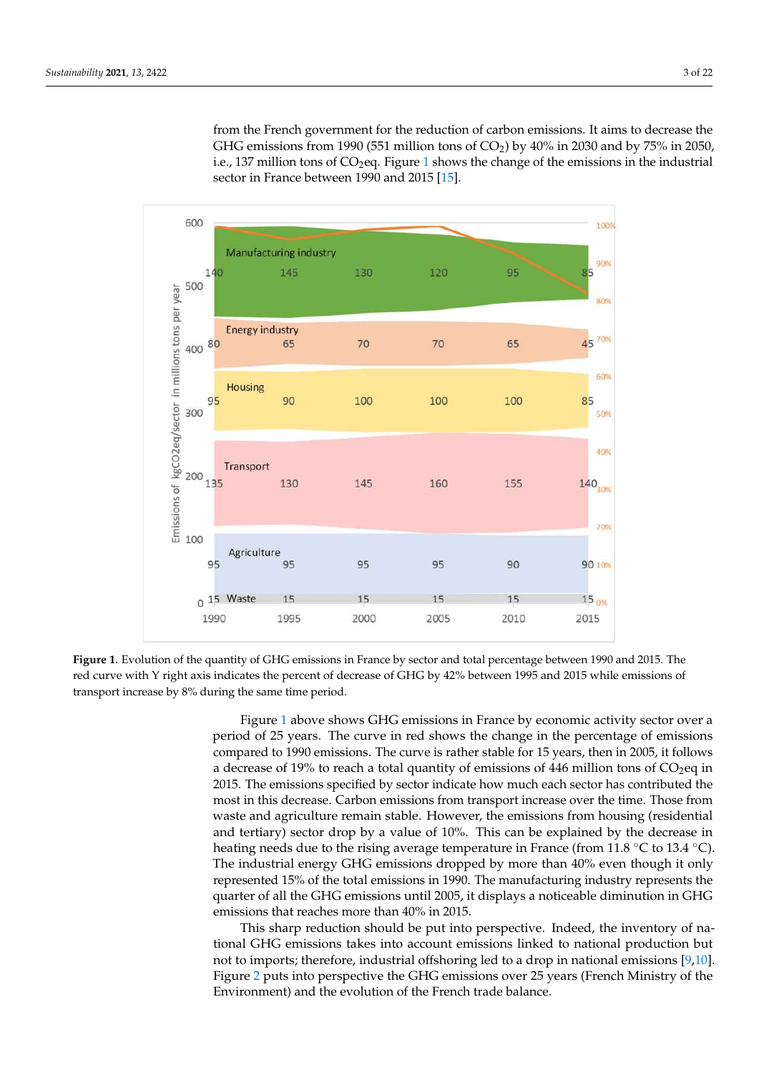from the French government for the reduction of carbon emissions. It aims to decrease the GHG emissions from 1990 (551 million tons of  $CO<sub>2</sub>$ ) by 40% in 2030 and by 75% in 2050, i.e., [1](#page-2-0)37 million tons of  $CO<sub>2</sub>$ eq. Figure 1 shows the change of the emissions in the industrial sector in France between 1990 and 2015 [\[15\]](#page-20-13).

<span id="page-2-0"></span>

**Figure 1.** Evolution of the quantity of GHG emissions in France by sector and total percentage between 1990 and 2015. The red curve with Y right axis indicates the percent of decrease of GHG by 42% between 1995 and 2015 while emissions of transport increase by 8% during the same time period.

Figure [1](#page-2-0) above shows GHG emissions in France by economic activity sector over a period of 25 years. The curve in red shows the change in the percentage of emissions compared to 1990 emissions. The curve is rather stable for 15 years, then in 2005, it follows a decrease of 19% to reach a total quantity of emissions of 446 million tons of  $CO<sub>2</sub>$ eq in 2015. The emissions specified by sector indicate how much each sector has contributed the most in this decrease. Carbon emissions from transport increase over the time. Those from waste and agriculture remain stable. However, the emissions from housing (residential and tertiary) sector drop by a value of 10%. This can be explained by the decrease in heating needs due to the rising average temperature in France (from 11.8  $^{\circ}$ C to 13.4  $^{\circ}$ C). The industrial energy GHG emissions dropped by more than 40% even though it only represented 15% of the total emissions in 1990. The manufacturing industry represents the quarter of all the GHG emissions until 2005, it displays a noticeable diminution in GHG emissions that reaches more than 40% in 2015.

This sharp reduction should be put into perspective. Indeed, the inventory of national GHG emissions takes into account emissions linked to national production but not to imports; therefore, industrial offshoring led to a drop in national emissions [\[9,](#page-20-7)[10\]](#page-20-8). Figure [2](#page-3-0) puts into perspective the GHG emissions over 25 years (French Ministry of the Environment) and the evolution of the French trade balance.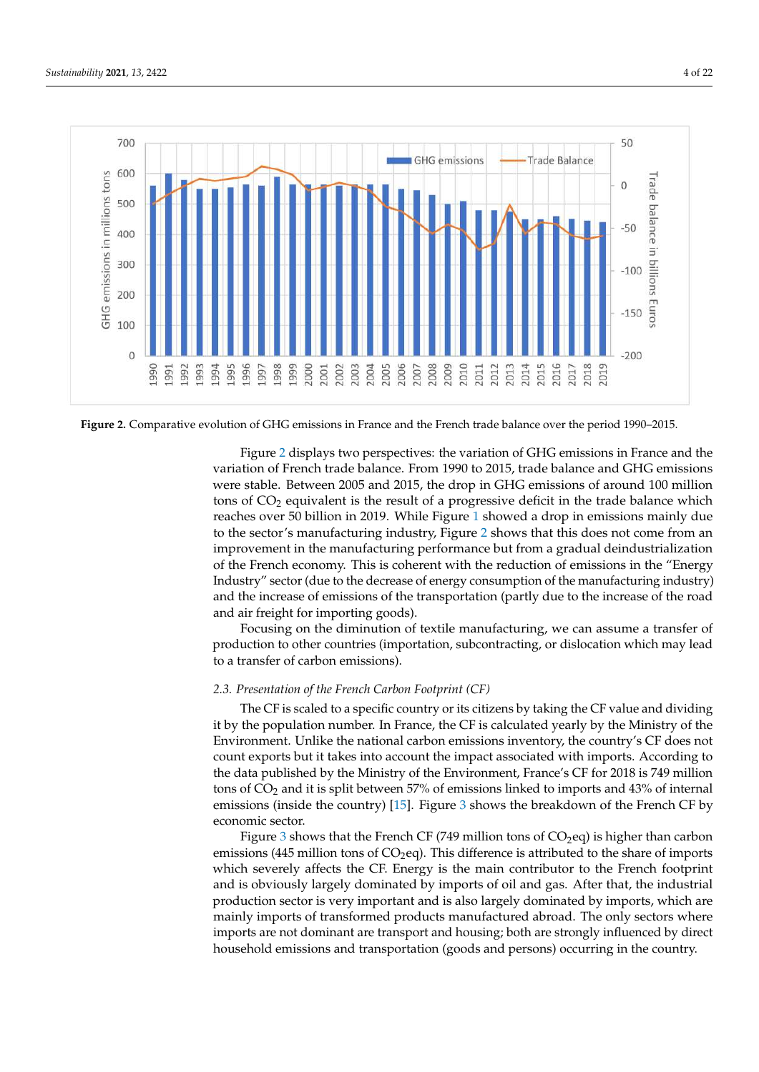<span id="page-3-0"></span>

**Figure 2.** Comparative evolution of GHG emissions in France and the French trade balance over the period 1990–2015.

Figure [2](#page-3-0) displays two perspectives: the variation of GHG emissions in France and the variation of French trade balance. From 1990 to 2015, trade balance and GHG emissions were stable. Between 2005 and 2015, the drop in GHG emissions of around 100 million tons of  $CO<sub>2</sub>$  equivalent is the result of a progressive deficit in the trade balance which reaches over 50 billion in 2019. While Figure [1](#page-2-0) showed a drop in emissions mainly due to the sector's manufacturing industry, Figure [2](#page-3-0) shows that this does not come from an improvement in the manufacturing performance but from a gradual deindustrialization of the French economy. This is coherent with the reduction of emissions in the "Energy Industry" sector (due to the decrease of energy consumption of the manufacturing industry) and the increase of emissions of the transportation (partly due to the increase of the road and air freight for importing goods).

Focusing on the diminution of textile manufacturing, we can assume a transfer of production to other countries (importation, subcontracting, or dislocation which may lead to a transfer of carbon emissions).

# *2.3. Presentation of the French Carbon Footprint (CF)*

The CF is scaled to a specific country or its citizens by taking the CF value and dividing it by the population number. In France, the CF is calculated yearly by the Ministry of the Environment. Unlike the national carbon emissions inventory, the country's CF does not count exports but it takes into account the impact associated with imports. According to the data published by the Ministry of the Environment, France's CF for 2018 is 749 million tons of CO<sup>2</sup> and it is split between 57% of emissions linked to imports and 43% of internal emissions (inside the country) [\[15\]](#page-20-13). Figure [3](#page-4-0) shows the breakdown of the French CF by economic sector.

Figure [3](#page-4-0) shows that the French CF (749 million tons of  $CO<sub>2</sub>$ eq) is higher than carbon emissions (445 million tons of  $CO<sub>2</sub>$ eq). This difference is attributed to the share of imports which severely affects the CF. Energy is the main contributor to the French footprint and is obviously largely dominated by imports of oil and gas. After that, the industrial production sector is very important and is also largely dominated by imports, which are mainly imports of transformed products manufactured abroad. The only sectors where imports are not dominant are transport and housing; both are strongly influenced by direct household emissions and transportation (goods and persons) occurring in the country.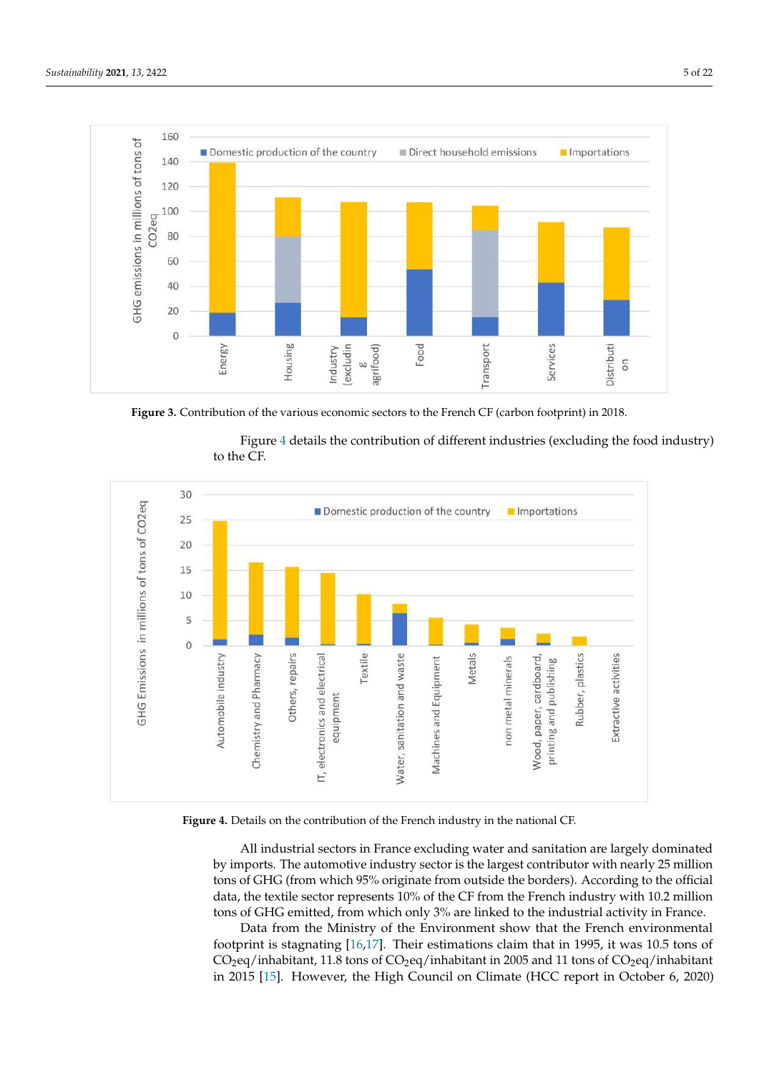<span id="page-4-0"></span>

**Figure 3.** Contribution of the various economic sectors to the French CF (carbon footprint) in 2018.

Figure [4](#page-4-1) details the contribution of different industries (excluding the food industry) to the CF.

<span id="page-4-1"></span>

**Figure 4.** Details on the contribution of the French industry in the national CF.

All industrial sectors in France excluding water and sanitation are largely dominated by imports. The automotive industry sector is the largest contributor with nearly 25 million tons of GHG (from which 95% originate from outside the borders). According to the official data, the textile sector represents 10% of the CF from the French industry with 10.2 million tons of GHG emitted, from which only 3% are linked to the industrial activity in France.

Data from the Ministry of the Environment show that the French environmental footprint is stagnating [\[16,](#page-20-14)[17\]](#page-21-0). Their estimations claim that in 1995, it was 10.5 tons of  $CO<sub>2</sub>$ eq/inhabitant, 11.8 tons of  $CO<sub>2</sub>$ eq/inhabitant in 2005 and 11 tons of  $CO<sub>2</sub>$ eq/inhabitant in 2015 [\[15\]](#page-20-13). However, the High Council on Climate (HCC report in October 6, 2020)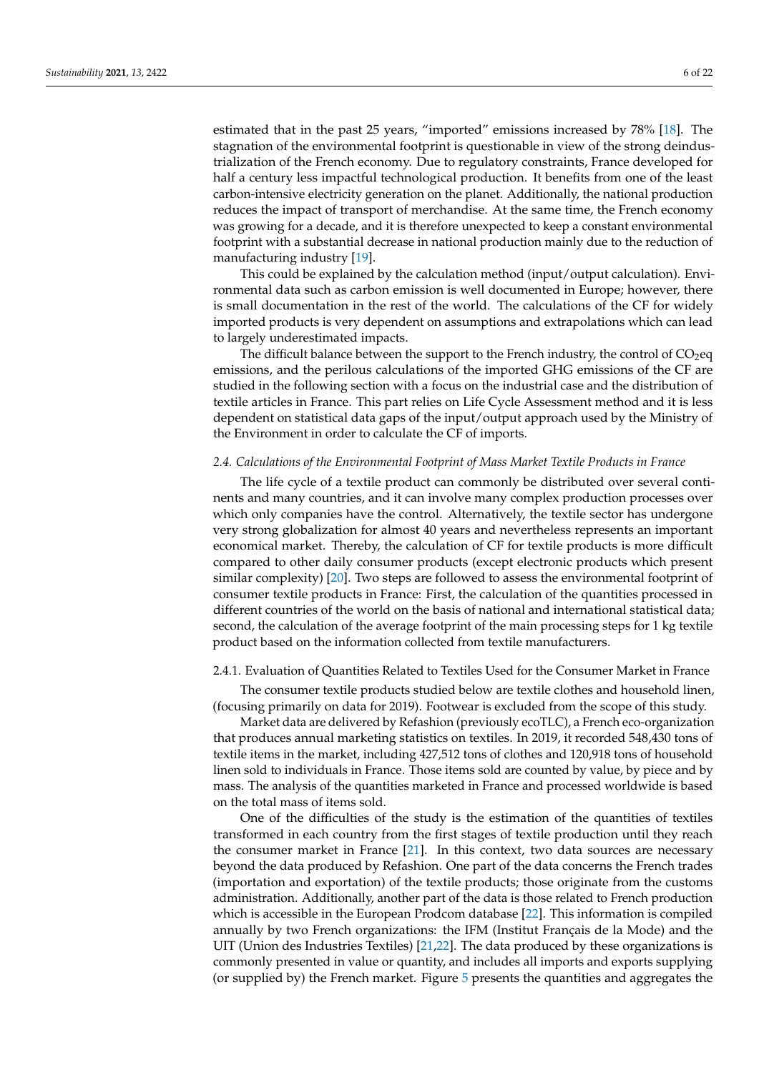estimated that in the past 25 years, "imported" emissions increased by 78% [\[18\]](#page-21-1). The stagnation of the environmental footprint is questionable in view of the strong deindustrialization of the French economy. Due to regulatory constraints, France developed for half a century less impactful technological production. It benefits from one of the least carbon-intensive electricity generation on the planet. Additionally, the national production reduces the impact of transport of merchandise. At the same time, the French economy was growing for a decade, and it is therefore unexpected to keep a constant environmental footprint with a substantial decrease in national production mainly due to the reduction of manufacturing industry [\[19\]](#page-21-2).

This could be explained by the calculation method (input/output calculation). Environmental data such as carbon emission is well documented in Europe; however, there is small documentation in the rest of the world. The calculations of the CF for widely imported products is very dependent on assumptions and extrapolations which can lead to largely underestimated impacts.

The difficult balance between the support to the French industry, the control of  $CO<sub>2</sub>$ eq emissions, and the perilous calculations of the imported GHG emissions of the CF are studied in the following section with a focus on the industrial case and the distribution of textile articles in France. This part relies on Life Cycle Assessment method and it is less dependent on statistical data gaps of the input/output approach used by the Ministry of the Environment in order to calculate the CF of imports.

#### *2.4. Calculations of the Environmental Footprint of Mass Market Textile Products in France*

The life cycle of a textile product can commonly be distributed over several continents and many countries, and it can involve many complex production processes over which only companies have the control. Alternatively, the textile sector has undergone very strong globalization for almost 40 years and nevertheless represents an important economical market. Thereby, the calculation of CF for textile products is more difficult compared to other daily consumer products (except electronic products which present similar complexity) [\[20\]](#page-21-3). Two steps are followed to assess the environmental footprint of consumer textile products in France: First, the calculation of the quantities processed in different countries of the world on the basis of national and international statistical data; second, the calculation of the average footprint of the main processing steps for 1 kg textile product based on the information collected from textile manufacturers.

#### 2.4.1. Evaluation of Quantities Related to Textiles Used for the Consumer Market in France

The consumer textile products studied below are textile clothes and household linen, (focusing primarily on data for 2019). Footwear is excluded from the scope of this study.

Market data are delivered by Refashion (previously ecoTLC), a French eco-organization that produces annual marketing statistics on textiles. In 2019, it recorded 548,430 tons of textile items in the market, including 427,512 tons of clothes and 120,918 tons of household linen sold to individuals in France. Those items sold are counted by value, by piece and by mass. The analysis of the quantities marketed in France and processed worldwide is based on the total mass of items sold.

One of the difficulties of the study is the estimation of the quantities of textiles transformed in each country from the first stages of textile production until they reach the consumer market in France [\[21\]](#page-21-4). In this context, two data sources are necessary beyond the data produced by Refashion. One part of the data concerns the French trades (importation and exportation) of the textile products; those originate from the customs administration. Additionally, another part of the data is those related to French production which is accessible in the European Prodcom database [\[22\]](#page-21-5). This information is compiled annually by two French organizations: the IFM (Institut Français de la Mode) and the UIT (Union des Industries Textiles) [\[21,](#page-21-4)[22\]](#page-21-5). The data produced by these organizations is commonly presented in value or quantity, and includes all imports and exports supplying (or supplied by) the French market. Figure [5](#page-6-0) presents the quantities and aggregates the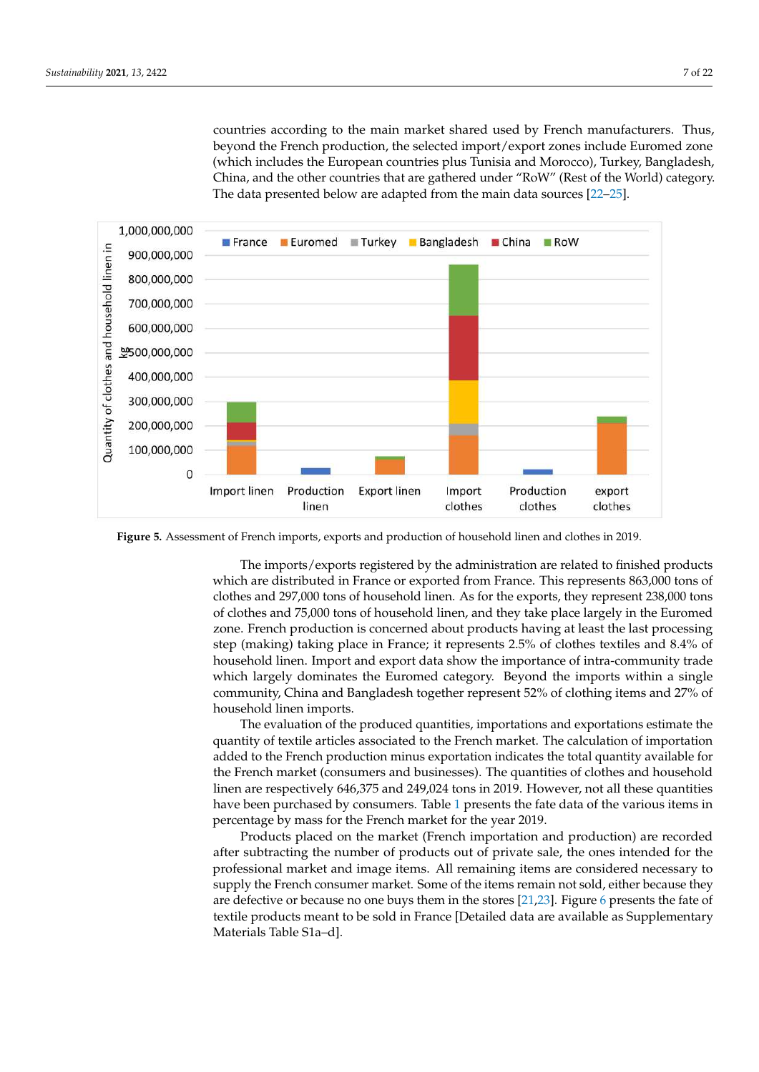countries according to the main market shared used by French manufacturers. Thus, beyond the French production, the selected import/export zones include Euromed zone (which includes the European countries plus Tunisia and Morocco), Turkey, Bangladesh, China, and the other countries that are gathered under "RoW" (Rest of the World) category. The data presented below are adapted from the main data sources [\[22](#page-21-5)[–25\]](#page-21-6).

<span id="page-6-0"></span>![](_page_6_Figure_2.jpeg)

**Figure 5.** Assessment of French imports, exports and production of household linen and clothes in 2019.

The imports/exports registered by the administration are related to finished products which are distributed in France or exported from France. This represents 863,000 tons of clothes and 297,000 tons of household linen. As for the exports, they represent 238,000 tons of clothes and 75,000 tons of household linen, and they take place largely in the Euromed zone. French production is concerned about products having at least the last processing step (making) taking place in France; it represents 2.5% of clothes textiles and 8.4% of household linen. Import and export data show the importance of intra-community trade which largely dominates the Euromed category. Beyond the imports within a single community, China and Bangladesh together represent 52% of clothing items and 27% of household linen imports.

The evaluation of the produced quantities, importations and exportations estimate the quantity of textile articles associated to the French market. The calculation of importation added to the French production minus exportation indicates the total quantity available for the French market (consumers and businesses). The quantities of clothes and household linen are respectively 646,375 and 249,024 tons in 2019. However, not all these quantities have been purchased by consumers. Table [1](#page-7-0) presents the fate data of the various items in percentage by mass for the French market for the year 2019.

Products placed on the market (French importation and production) are recorded after subtracting the number of products out of private sale, the ones intended for the professional market and image items. All remaining items are considered necessary to supply the French consumer market. Some of the items remain not sold, either because they are defective or because no one buys them in the stores [\[21,](#page-21-4)[23\]](#page-21-7). Figure [6](#page-7-1) presents the fate of textile products meant to be sold in France [Detailed data are available as Supplementary Materials Table S1a–d].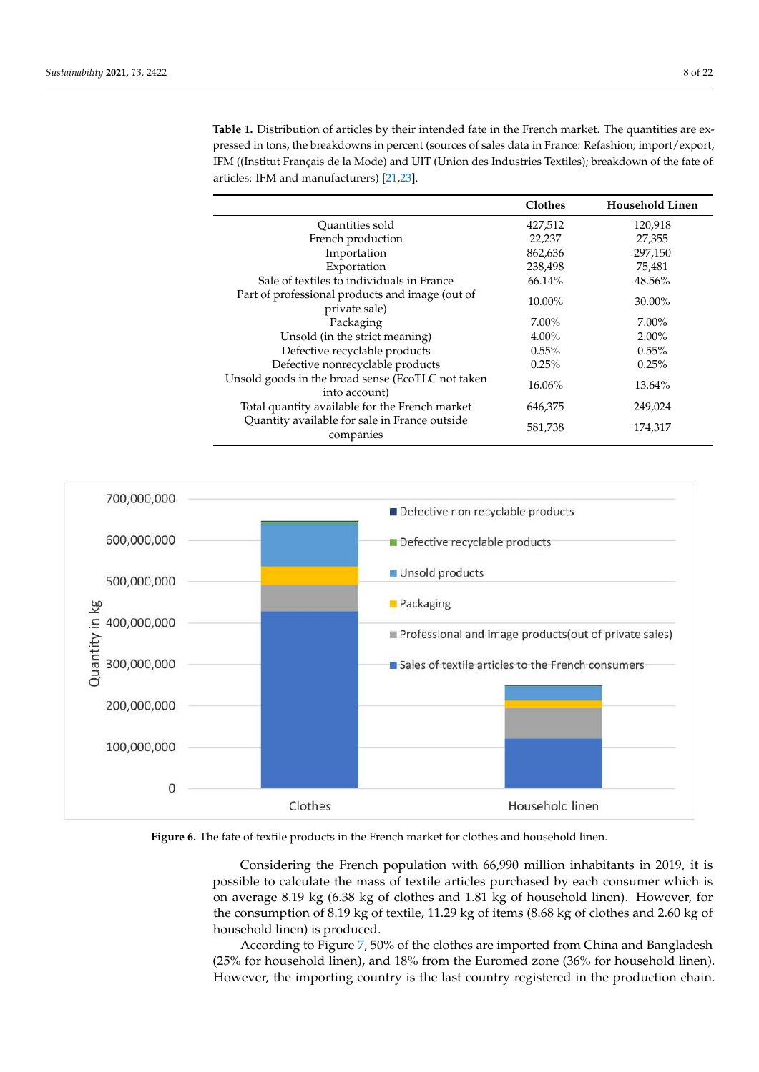<span id="page-7-0"></span>**Table 1.** Distribution of articles by their intended fate in the French market. The quantities are expressed in tons, the breakdowns in percent (sources of sales data in France: Refashion; import/export, IFM ((Institut Français de la Mode) and UIT (Union des Industries Textiles); breakdown of the fate of articles: IFM and manufacturers) [\[21,](#page-21-4)[23\]](#page-21-7).

|                                                                    | <b>Clothes</b> | <b>Household Linen</b> |
|--------------------------------------------------------------------|----------------|------------------------|
| Quantities sold                                                    | 427,512        | 120,918                |
| French production                                                  | 22,237         | 27,355                 |
| Importation                                                        | 862,636        | 297,150                |
| Exportation                                                        | 238,498        | 75,481                 |
| Sale of textiles to individuals in France                          | 66.14%         | 48.56%                 |
| Part of professional products and image (out of<br>private sale)   | 10.00%         | 30.00%                 |
| Packaging                                                          | $7.00\%$       | $7.00\%$               |
| Unsold (in the strict meaning)                                     | $4.00\%$       | $2.00\%$               |
| Defective recyclable products                                      | $0.55\%$       | $0.55\%$               |
| Defective nonrecyclable products                                   | 0.25%          | 0.25%                  |
| Unsold goods in the broad sense (EcoTLC not taken<br>into account) | 16.06%         | 13.64%                 |
| Total quantity available for the French market                     | 646,375        | 249,024                |
| Quantity available for sale in France outside<br>companies         | 581,738        | 174,317                |

<span id="page-7-1"></span>![](_page_7_Figure_3.jpeg)

**Figure 6.** The fate of textile products in the French market for clothes and household linen.

Considering the French population with 66,990 million inhabitants in 2019, it is possible to calculate the mass of textile articles purchased by each consumer which is on average 8.19 kg (6.38 kg of clothes and 1.81 kg of household linen). However, for the consumption of 8.19 kg of textile, 11.29 kg of items (8.68 kg of clothes and 2.60 kg of household linen) is produced.

According to Figure [7,](#page-8-0) 50% of the clothes are imported from China and Bangladesh (25% for household linen), and 18% from the Euromed zone (36% for household linen). However, the importing country is the last country registered in the production chain.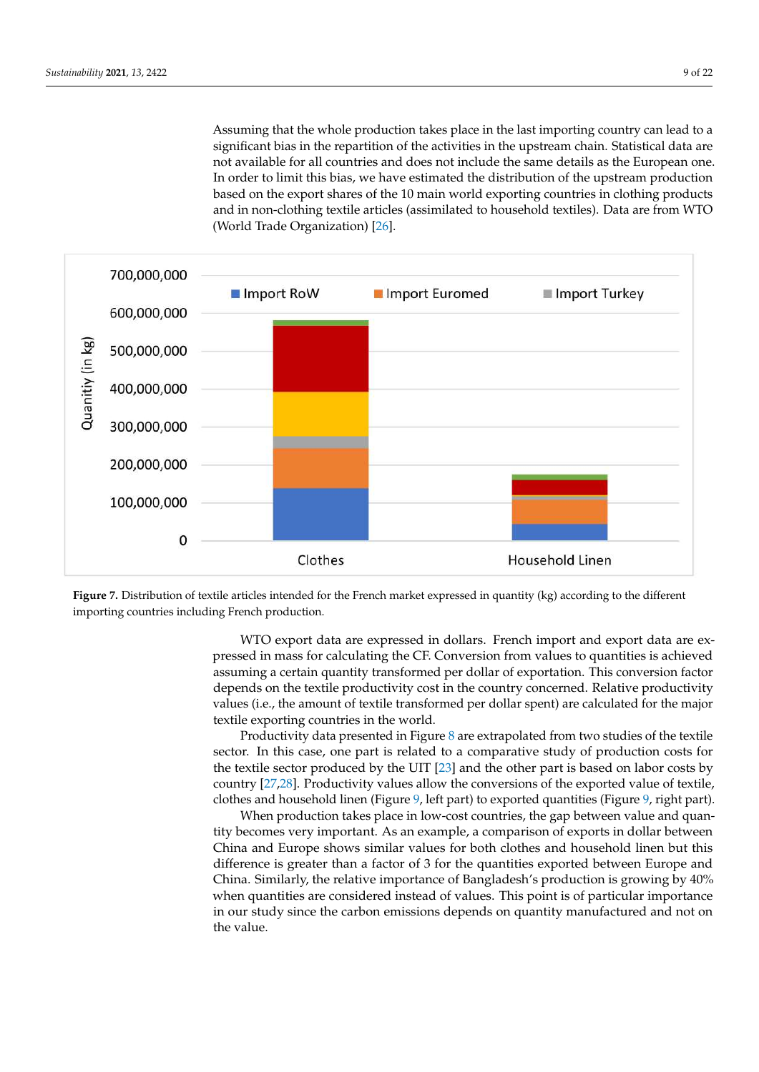Assuming that the whole production takes place in the last importing country can lead to a significant bias in the repartition of the activities in the upstream chain. Statistical data are not available for all countries and does not include the same details as the European one. In order to limit this bias, we have estimated the distribution of the upstream production based on the export shares of the 10 main world exporting countries in clothing products and in non-clothing textile articles (assimilated to household textiles). Data are from WTO (World Trade Organization) [\[26\]](#page-21-8).

<span id="page-8-0"></span>![](_page_8_Figure_2.jpeg)

**Figure 7.** Distribution of textile articles intended for the French market expressed in quantity (kg) according to the different importing countries including French production.

WTO export data are expressed in dollars. French import and export data are expressed in mass for calculating the CF. Conversion from values to quantities is achieved assuming a certain quantity transformed per dollar of exportation. This conversion factor depends on the textile productivity cost in the country concerned. Relative productivity values (i.e., the amount of textile transformed per dollar spent) are calculated for the major textile exporting countries in the world.

Productivity data presented in Figure [8](#page-9-0) are extrapolated from two studies of the textile sector. In this case, one part is related to a comparative study of production costs for the textile sector produced by the UIT [\[23\]](#page-21-7) and the other part is based on labor costs by country [\[27,](#page-21-9)[28\]](#page-21-10). Productivity values allow the conversions of the exported value of textile, clothes and household linen (Figure [9,](#page-9-1) left part) to exported quantities (Figure [9,](#page-9-1) right part).

When production takes place in low-cost countries, the gap between value and quantity becomes very important. As an example, a comparison of exports in dollar between China and Europe shows similar values for both clothes and household linen but this difference is greater than a factor of 3 for the quantities exported between Europe and China. Similarly, the relative importance of Bangladesh's production is growing by 40% when quantities are considered instead of values. This point is of particular importance in our study since the carbon emissions depends on quantity manufactured and not on the value.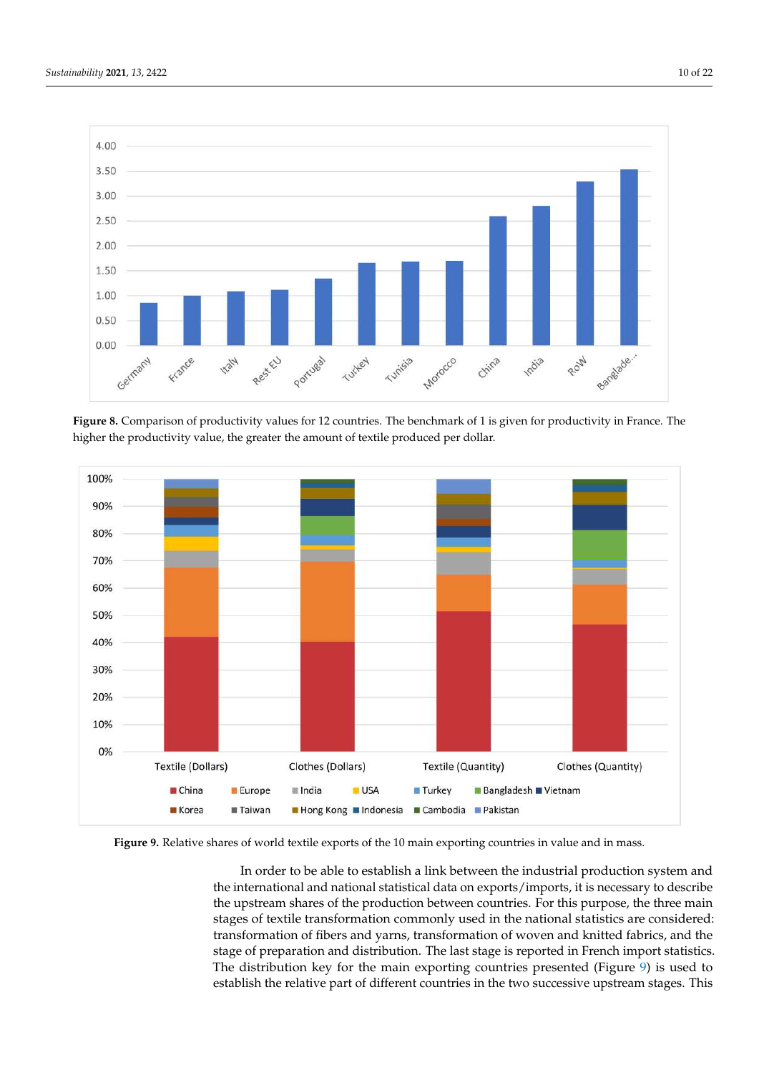<span id="page-9-0"></span>![](_page_9_Figure_2.jpeg)

**Figure 8.** Comparison of productivity values for 12 countries. The benchmark of 1 is given for productivity in France. The higher the productivity value, the greater the amount of textile produced per dollar.

<span id="page-9-1"></span>![](_page_9_Figure_4.jpeg)

Figure 9. Relative shares of world textile exports of the 10 main exporting countries in value and in mass.

In order to be able to establish a link between the industrial production system and the international and national statistical data on exports/imports, it is necessary to describe the upstream shares of the production between countries. For this purpose, the three main stages of textile transformation commonly used in the national statistics are considered: transformation of fibers and yarns, transformation of woven and knitted fabrics, and the stage of preparation and distribution. The last stage is reported in French import statistics. The distribution key for the main exporting countries presented (Figure [9\)](#page-9-1) is used to establish the relative part of different countries in the two successive upstream stages. This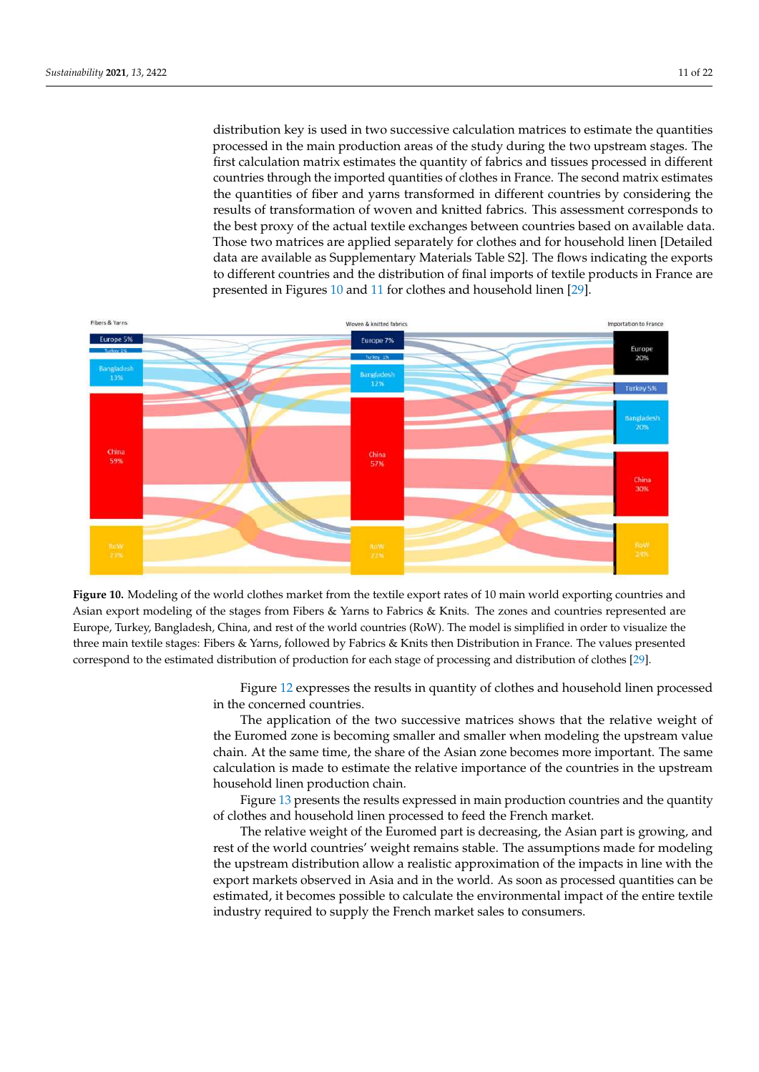distribution key is used in two successive calculation matrices to estimate the quantities processed in the main production areas of the study during the two upstream stages. The first calculation matrix estimates the quantity of fabrics and tissues processed in different countries through the imported quantities of clothes in France. The second matrix estimates the quantities of fiber and yarns transformed in different countries by considering the results of transformation of woven and knitted fabrics. This assessment corresponds to the best proxy of the actual textile exchanges between countries based on available data. Those two matrices are applied separately for clothes and for household linen [Detailed data are available as Supplementary Materials Table S2]. The flows indicating the exports to different countries and the distribution of final imports of textile products in France are presented in Figures [10](#page-10-0) and [11](#page-11-0) for clothes and household linen [\[29\]](#page-21-11).

<span id="page-10-0"></span>![](_page_10_Figure_2.jpeg)

**Figure 10.** Modeling of the world clothes market from the textile export rates of 10 main world exporting countries and Asian export modeling of the stages from Fibers & Yarns to Fabrics & Knits. The zones and countries represented are Europe, Turkey, Bangladesh, China, and rest of the world countries (RoW). The model is simplified in order to visualize the three main textile stages: Fibers & Yarns, followed by Fabrics & Knits then Distribution in France. The values presented correspond to the estimated distribution of production for each stage of processing and distribution of clothes [\[29\]](#page-21-11).

> Figure [12](#page-11-1) expresses the results in quantity of clothes and household linen processed in the concerned countries.

> The application of the two successive matrices shows that the relative weight of the Euromed zone is becoming smaller and smaller when modeling the upstream value chain. At the same time, the share of the Asian zone becomes more important. The same calculation is made to estimate the relative importance of the countries in the upstream household linen production chain.

> Figure [13](#page-12-0) presents the results expressed in main production countries and the quantity of clothes and household linen processed to feed the French market.

> The relative weight of the Euromed part is decreasing, the Asian part is growing, and rest of the world countries' weight remains stable. The assumptions made for modeling the upstream distribution allow a realistic approximation of the impacts in line with the export markets observed in Asia and in the world. As soon as processed quantities can be estimated, it becomes possible to calculate the environmental impact of the entire textile industry required to supply the French market sales to consumers.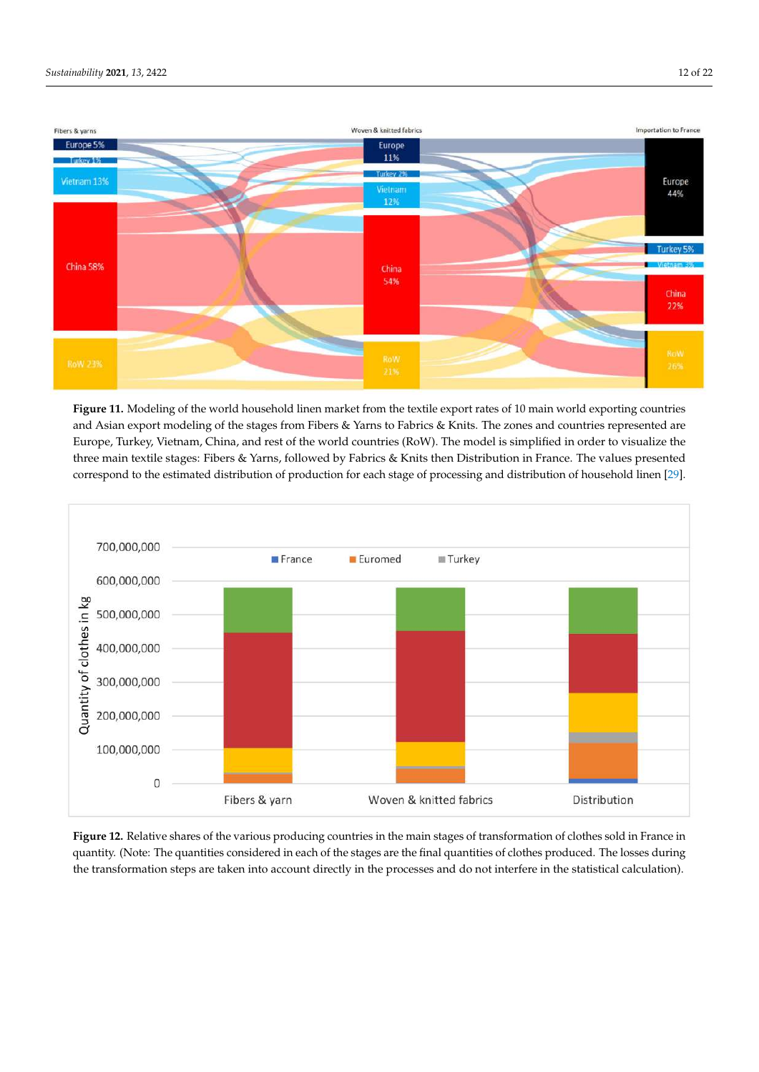<span id="page-11-0"></span>![](_page_11_Figure_2.jpeg)

**Figure 11.** Modeling of the world household linen market from the textile export rates of 10 main world exporting countries and Asian export modeling of the stages from Fibers & Yarns to Fabrics & Knits. The zones and countries represented are Europe, Turkey, Vietnam, China, and rest of the world countries (RoW). The model is simplified in order to visualize the three main textile stages: Fibers & Yarns, followed by Fabrics & Knits then Distribution in France. The values presented correspond to the estimated distribution of production for each stage of processing and distribution of household linen [\[29\]](#page-21-11).

<span id="page-11-1"></span>![](_page_11_Figure_4.jpeg)

**Figure 12.** Relative shares of the various producing countries in the main stages of transformation of clothes sold in France in quantity. (Note: The quantities considered in each of the stages are the final quantities of clothes produced. The losses during the transformation steps are taken into account directly in the processes and do not interfere in the statistical calculation).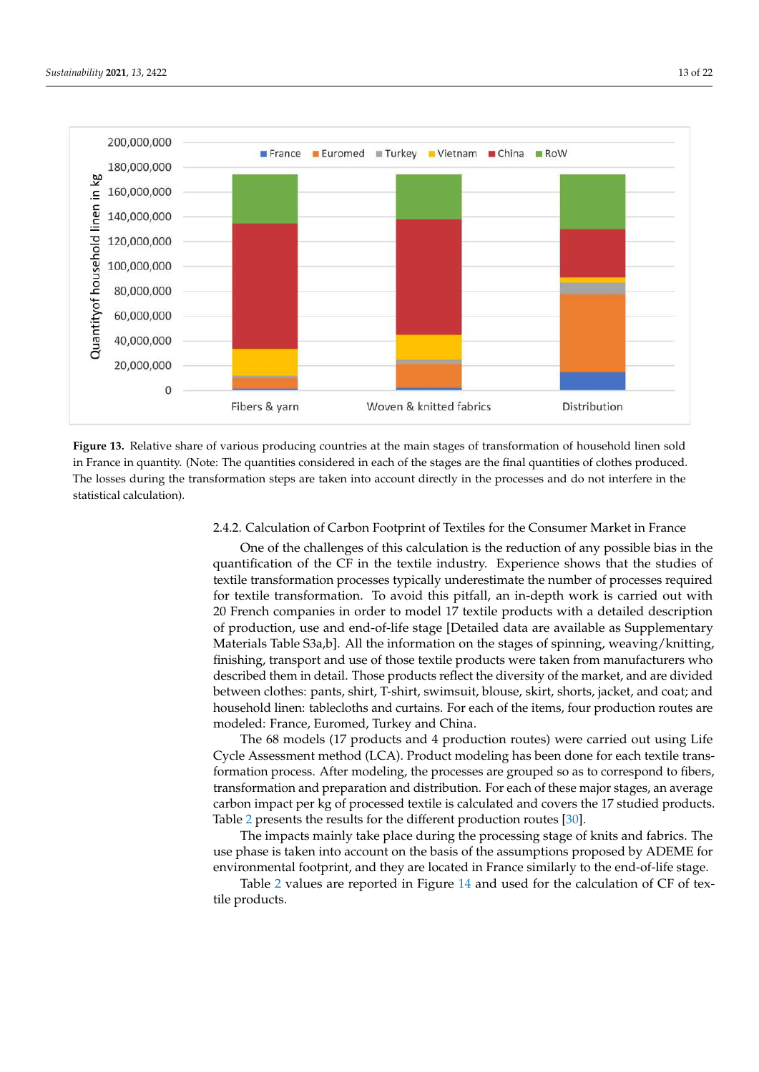<span id="page-12-0"></span>![](_page_12_Figure_1.jpeg)

**Figure 13.** Relative share of various producing countries at the main stages of transformation of household linen sold in France in quantity. (Note: The quantities considered in each of the stages are the final quantities of clothes produced. The losses during the transformation steps are taken into account directly in the processes and do not interfere in the statistical calculation).

# 2.4.2. Calculation of Carbon Footprint of Textiles for the Consumer Market in France

One of the challenges of this calculation is the reduction of any possible bias in the quantification of the CF in the textile industry. Experience shows that the studies of textile transformation processes typically underestimate the number of processes required for textile transformation. To avoid this pitfall, an in-depth work is carried out with 20 French companies in order to model 17 textile products with a detailed description of production, use and end-of-life stage [Detailed data are available as Supplementary Materials Table S3a,b]. All the information on the stages of spinning, weaving/knitting, finishing, transport and use of those textile products were taken from manufacturers who described them in detail. Those products reflect the diversity of the market, and are divided between clothes: pants, shirt, T-shirt, swimsuit, blouse, skirt, shorts, jacket, and coat; and household linen: tablecloths and curtains. For each of the items, four production routes are modeled: France, Euromed, Turkey and China.

The 68 models (17 products and 4 production routes) were carried out using Life Cycle Assessment method (LCA). Product modeling has been done for each textile transformation process. After modeling, the processes are grouped so as to correspond to fibers, transformation and preparation and distribution. For each of these major stages, an average carbon impact per kg of processed textile is calculated and covers the 17 studied products. Table [2](#page-13-0) presents the results for the different production routes [\[30\]](#page-21-12).

The impacts mainly take place during the processing stage of knits and fabrics. The use phase is taken into account on the basis of the assumptions proposed by ADEME for environmental footprint, and they are located in France similarly to the end-of-life stage.

Table [2](#page-13-0) values are reported in Figure [14](#page-13-1) and used for the calculation of CF of textile products.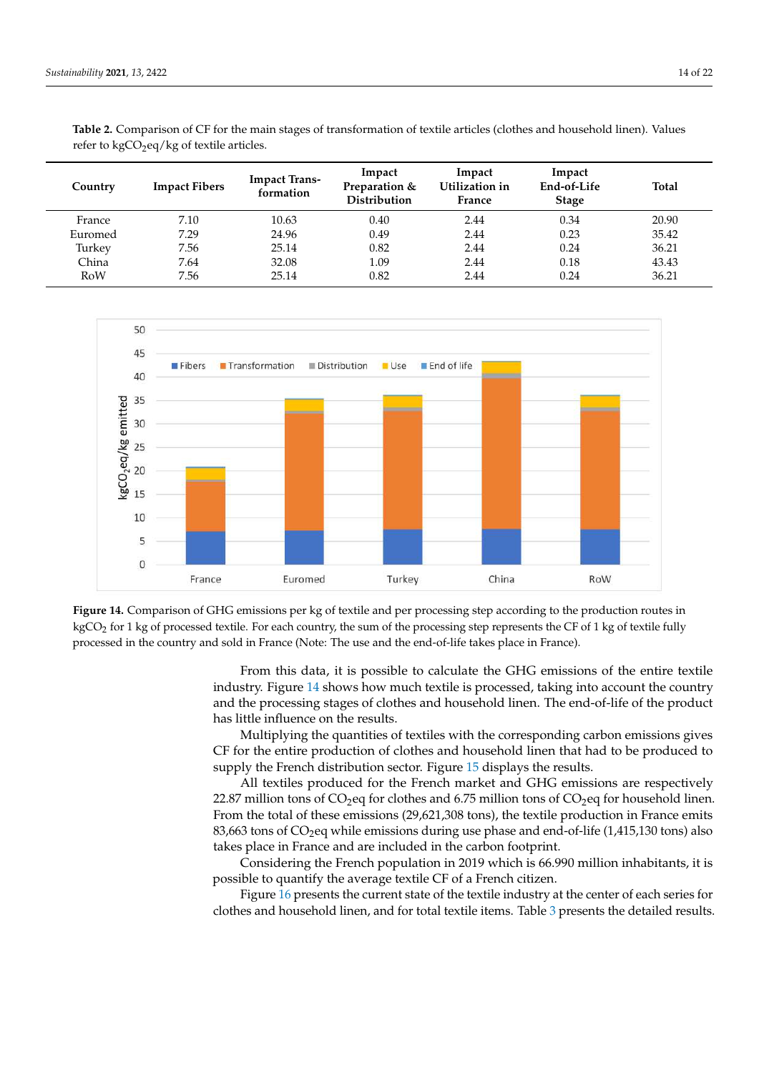| Country | <b>Impact Fibers</b> | <b>Impact Trans-</b><br>formation | Impact<br>Preparation &<br><b>Distribution</b> | Impact<br>Utilization in<br>France | Impact<br>End-of-Life<br><b>Stage</b> | <b>Total</b> |
|---------|----------------------|-----------------------------------|------------------------------------------------|------------------------------------|---------------------------------------|--------------|
| France  | 7.10                 | 10.63                             | 0.40                                           | 2.44                               | 0.34                                  | 20.90        |
| Euromed | 7.29                 | 24.96                             | 0.49                                           | 2.44                               | 0.23                                  | 35.42        |
| Turkey  | 7.56                 | 25.14                             | 0.82                                           | 2.44                               | 0.24                                  | 36.21        |
| China   | 7.64                 | 32.08                             | 1.09                                           | 2.44                               | 0.18                                  | 43.43        |
| RoW     | 7.56                 | 25.14                             | 0.82                                           | 2.44                               | 0.24                                  | 36.21        |

<span id="page-13-0"></span>**Table 2.** Comparison of CF for the main stages of transformation of textile articles (clothes and household linen). Values refer to  $kgCO<sub>2</sub>eq/kg$  of textile articles.

<span id="page-13-1"></span>![](_page_13_Figure_3.jpeg)

**Figure 14.** Comparison of GHG emissions per kg of textile and per processing step according to the production routes in kgCO<sub>2</sub> for 1 kg of processed textile. For each country, the sum of the processing step represents the CF of 1 kg of textile fully processed in the country and sold in France (Note: The use and the end-of-life takes place in France).

> From this data, it is possible to calculate the GHG emissions of the entire textile industry. Figure [14](#page-13-1) shows how much textile is processed, taking into account the country and the processing stages of clothes and household linen. The end-of-life of the product has little influence on the results.

> Multiplying the quantities of textiles with the corresponding carbon emissions gives CF for the entire production of clothes and household linen that had to be produced to supply the French distribution sector. Figure [15](#page-14-0) displays the results.

> All textiles produced for the French market and GHG emissions are respectively 22.87 million tons of  $CO<sub>2</sub>$ eq for clothes and 6.75 million tons of  $CO<sub>2</sub>$ eq for household linen. From the total of these emissions (29,621,308 tons), the textile production in France emits 83,663 tons of  $CO<sub>2</sub>$ eq while emissions during use phase and end-of-life (1,415,130 tons) also takes place in France and are included in the carbon footprint.

> Considering the French population in 2019 which is 66.990 million inhabitants, it is possible to quantify the average textile CF of a French citizen.

> Figure [16](#page-14-1) presents the current state of the textile industry at the center of each series for clothes and household linen, and for total textile items. Table [3](#page-14-2) presents the detailed results.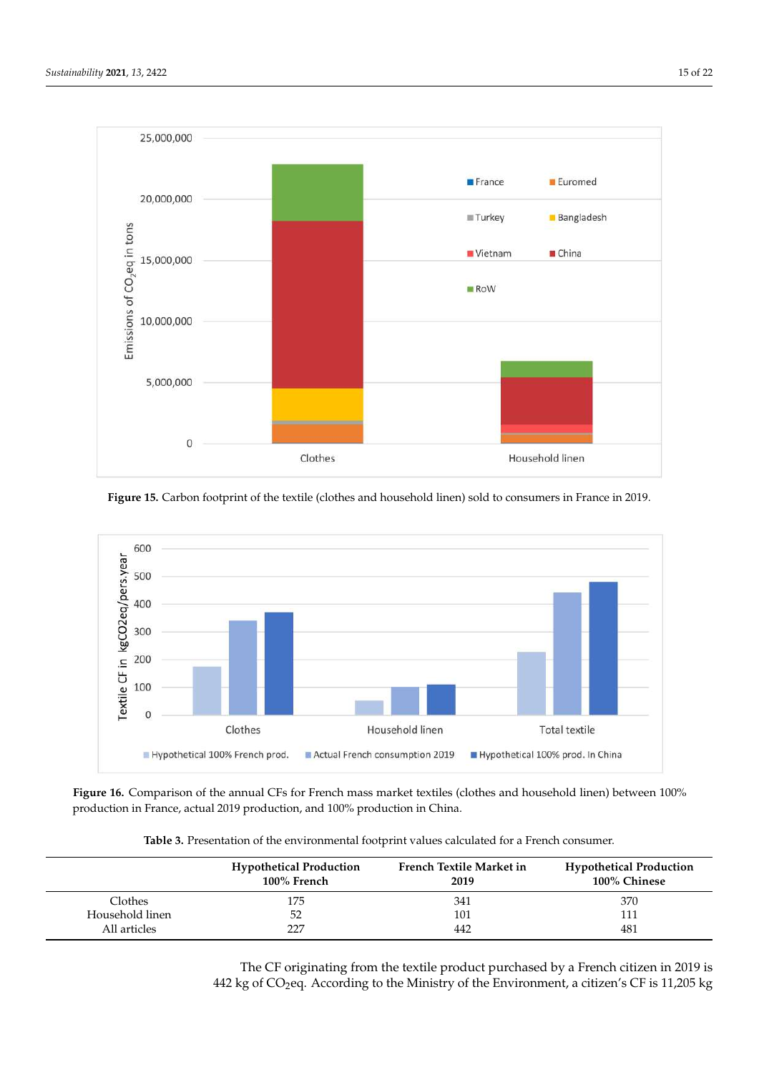<span id="page-14-0"></span>![](_page_14_Figure_1.jpeg)

**Figure 15.** Carbon footprint of the textile (clothes and household linen) sold to consumers in France in 2019.

<span id="page-14-1"></span>![](_page_14_Figure_3.jpeg)

**Figure 16.** Comparison of the annual CFs for French mass market textiles (clothes and household linen) between 100% production in France, actual 2019 production, and 100% production in China.

| Table 3. Presentation of the environmental footprint values calculated for a French consumer. |  |  |  |  |
|-----------------------------------------------------------------------------------------------|--|--|--|--|
|                                                                                               |  |  |  |  |

<span id="page-14-2"></span>

|                 | <b>Hypothetical Production</b><br>100% French | French Textile Market in<br>2019 | <b>Hypothetical Production</b><br>100% Chinese |
|-----------------|-----------------------------------------------|----------------------------------|------------------------------------------------|
| <b>Clothes</b>  | 175                                           | 341                              | 370                                            |
| Household linen | 52                                            | 101                              | 111                                            |
| All articles    | 227                                           | 442                              | 481                                            |

The CF originating from the textile product purchased by a French citizen in 2019 is 442 kg of  $CO<sub>2</sub>$ eq. According to the Ministry of the Environment, a citizen's CF is 11,205 kg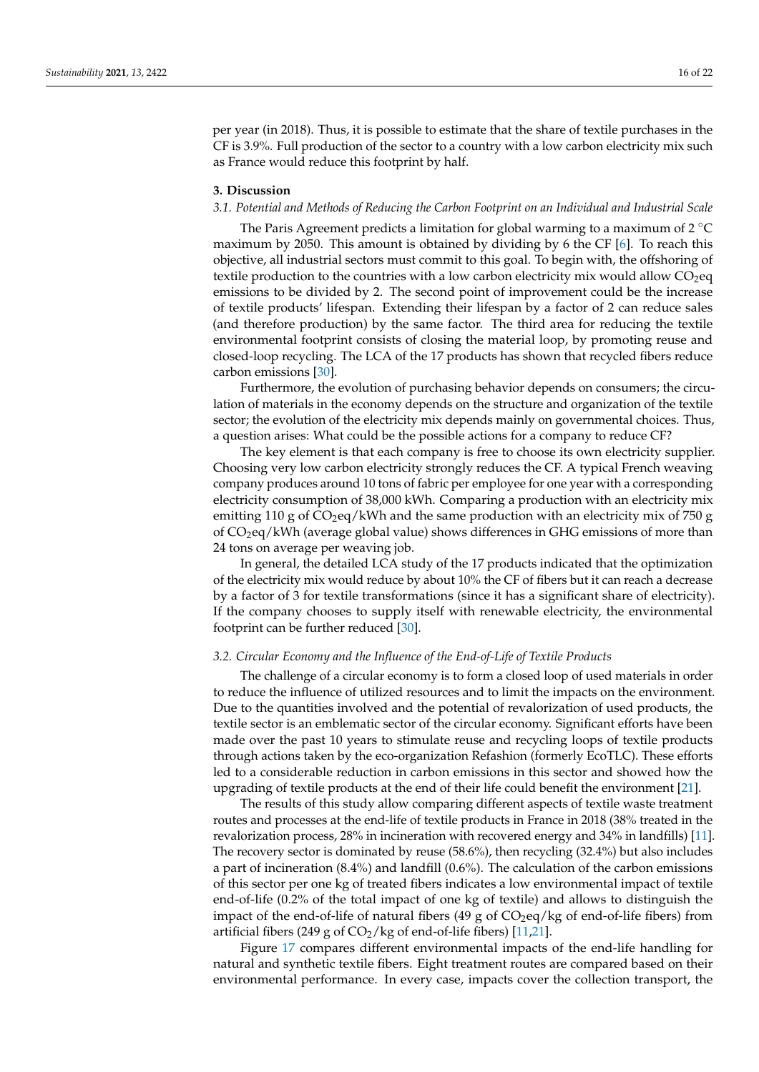per year (in 2018). Thus, it is possible to estimate that the share of textile purchases in the CF is 3.9%. Full production of the sector to a country with a low carbon electricity mix such as France would reduce this footprint by half.

### **3. Discussion**

## *3.1. Potential and Methods of Reducing the Carbon Footprint on an Individual and Industrial Scale*

The Paris Agreement predicts a limitation for global warming to a maximum of  $2^{\circ}C$ maximum by 2050. This amount is obtained by dividing by 6 the CF [\[6\]](#page-20-4). To reach this objective, all industrial sectors must commit to this goal. To begin with, the offshoring of textile production to the countries with a low carbon electricity mix would allow  $CO<sub>2</sub>$ eq emissions to be divided by 2. The second point of improvement could be the increase of textile products' lifespan. Extending their lifespan by a factor of 2 can reduce sales (and therefore production) by the same factor. The third area for reducing the textile environmental footprint consists of closing the material loop, by promoting reuse and closed-loop recycling. The LCA of the 17 products has shown that recycled fibers reduce carbon emissions [\[30\]](#page-21-12).

Furthermore, the evolution of purchasing behavior depends on consumers; the circulation of materials in the economy depends on the structure and organization of the textile sector; the evolution of the electricity mix depends mainly on governmental choices. Thus, a question arises: What could be the possible actions for a company to reduce CF?

The key element is that each company is free to choose its own electricity supplier. Choosing very low carbon electricity strongly reduces the CF. A typical French weaving company produces around 10 tons of fabric per employee for one year with a corresponding electricity consumption of 38,000 kWh. Comparing a production with an electricity mix emitting 110 g of  $CO_2$ eq/kWh and the same production with an electricity mix of 750 g of CO2eq/kWh (average global value) shows differences in GHG emissions of more than 24 tons on average per weaving job.

In general, the detailed LCA study of the 17 products indicated that the optimization of the electricity mix would reduce by about 10% the CF of fibers but it can reach a decrease by a factor of 3 for textile transformations (since it has a significant share of electricity). If the company chooses to supply itself with renewable electricity, the environmental footprint can be further reduced [\[30\]](#page-21-12).

#### *3.2. Circular Economy and the Influence of the End-of-Life of Textile Products*

The challenge of a circular economy is to form a closed loop of used materials in order to reduce the influence of utilized resources and to limit the impacts on the environment. Due to the quantities involved and the potential of revalorization of used products, the textile sector is an emblematic sector of the circular economy. Significant efforts have been made over the past 10 years to stimulate reuse and recycling loops of textile products through actions taken by the eco-organization Refashion (formerly EcoTLC). These efforts led to a considerable reduction in carbon emissions in this sector and showed how the upgrading of textile products at the end of their life could benefit the environment [\[21\]](#page-21-4).

The results of this study allow comparing different aspects of textile waste treatment routes and processes at the end-life of textile products in France in 2018 (38% treated in the revalorization process, 28% in incineration with recovered energy and 34% in landfills) [\[11\]](#page-20-9). The recovery sector is dominated by reuse (58.6%), then recycling (32.4%) but also includes a part of incineration (8.4%) and landfill (0.6%). The calculation of the carbon emissions of this sector per one kg of treated fibers indicates a low environmental impact of textile end-of-life (0.2% of the total impact of one kg of textile) and allows to distinguish the impact of the end-of-life of natural fibers  $(49 g \text{ of } CO_2 \text{eq/kg of }$  end-of-life fibers) from artificial fibers (249 g of  $CO_2$ /kg of end-of-life fibers) [\[11,](#page-20-9)[21\]](#page-21-4).

Figure [17](#page-16-0) compares different environmental impacts of the end-life handling for natural and synthetic textile fibers. Eight treatment routes are compared based on their environmental performance. In every case, impacts cover the collection transport, the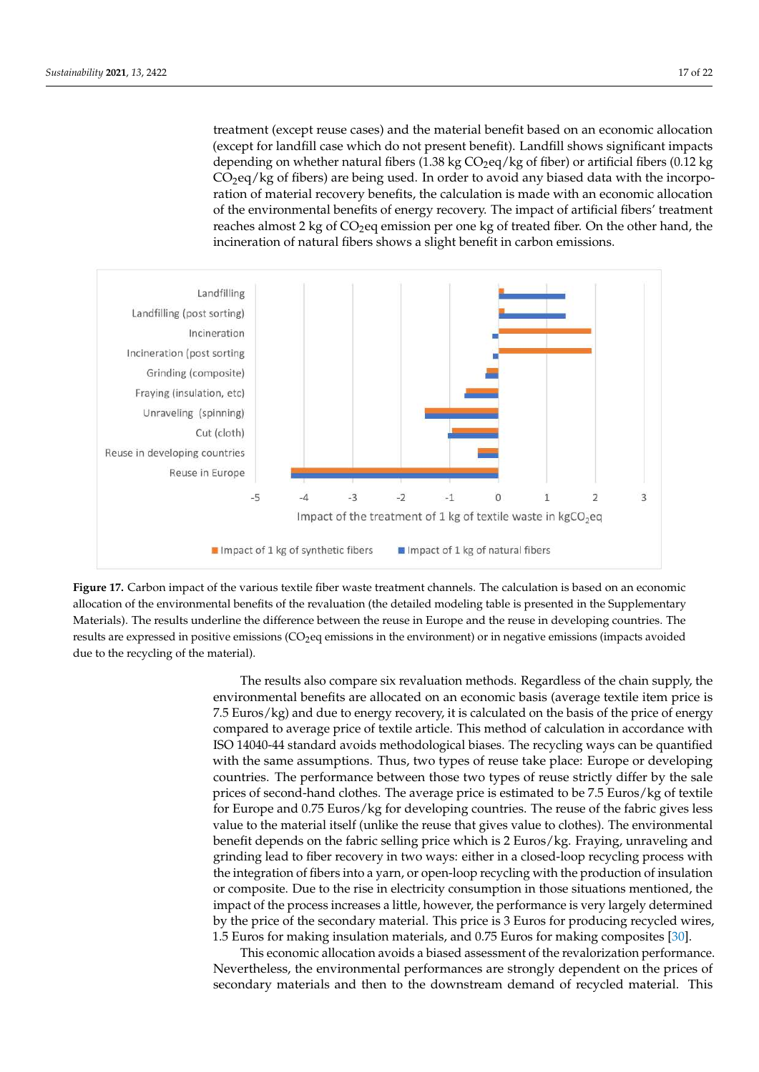treatment (except reuse cases) and the material benefit based on an economic allocation (except for landfill case which do not present benefit). Landfill shows significant impacts depending on whether natural fibers (1.38 kg  $CO_2$ eq/kg of fiber) or artificial fibers (0.12 kg  $CO<sub>2</sub>$ eq/kg of fibers) are being used. In order to avoid any biased data with the incorporation of material recovery benefits, the calculation is made with an economic allocation of the environmental benefits of energy recovery. The impact of artificial fibers' treatment reaches almost 2 kg of CO<sub>2</sub>eq emission per one kg of treated fiber. On the other hand, the incineration of natural fibers shows a slight benefit in carbon emissions.

<span id="page-16-0"></span>![](_page_16_Figure_2.jpeg)

**Figure 17.** Carbon impact of the various textile fiber waste treatment channels. The calculation is based on an economic allocation of the environmental benefits of the revaluation (the detailed modeling table is presented in the Supplementary Materials). The results underline the difference between the reuse in Europe and the reuse in developing countries. The results are expressed in positive emissions (CO<sub>2</sub>eq emissions in the environment) or in negative emissions (impacts avoided due to the recycling of the material).

> The results also compare six revaluation methods. Regardless of the chain supply, the environmental benefits are allocated on an economic basis (average textile item price is 7.5 Euros/kg) and due to energy recovery, it is calculated on the basis of the price of energy compared to average price of textile article. This method of calculation in accordance with ISO 14040-44 standard avoids methodological biases. The recycling ways can be quantified with the same assumptions. Thus, two types of reuse take place: Europe or developing countries. The performance between those two types of reuse strictly differ by the sale prices of second-hand clothes. The average price is estimated to be 7.5 Euros/kg of textile for Europe and 0.75 Euros/kg for developing countries. The reuse of the fabric gives less value to the material itself (unlike the reuse that gives value to clothes). The environmental benefit depends on the fabric selling price which is 2 Euros/kg. Fraying, unraveling and grinding lead to fiber recovery in two ways: either in a closed-loop recycling process with the integration of fibers into a yarn, or open-loop recycling with the production of insulation or composite. Due to the rise in electricity consumption in those situations mentioned, the impact of the process increases a little, however, the performance is very largely determined by the price of the secondary material. This price is 3 Euros for producing recycled wires, 1.5 Euros for making insulation materials, and 0.75 Euros for making composites [\[30\]](#page-21-12).

> This economic allocation avoids a biased assessment of the revalorization performance. Nevertheless, the environmental performances are strongly dependent on the prices of secondary materials and then to the downstream demand of recycled material. This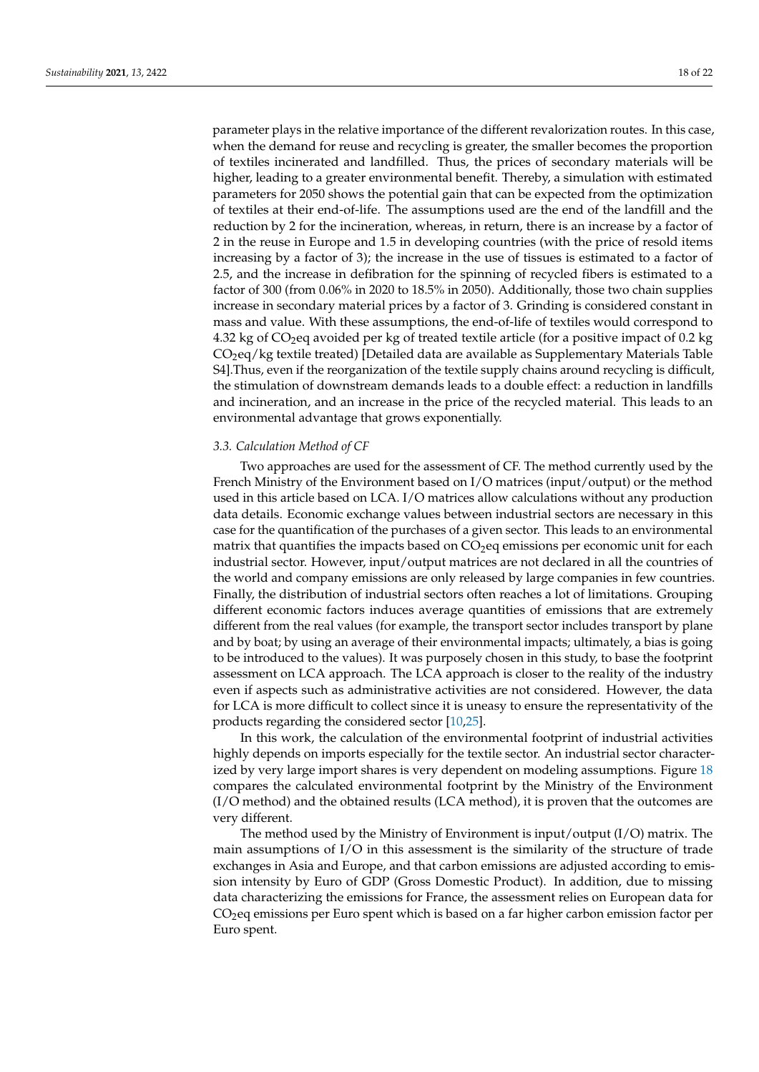parameter plays in the relative importance of the different revalorization routes. In this case, when the demand for reuse and recycling is greater, the smaller becomes the proportion of textiles incinerated and landfilled. Thus, the prices of secondary materials will be higher, leading to a greater environmental benefit. Thereby, a simulation with estimated parameters for 2050 shows the potential gain that can be expected from the optimization of textiles at their end-of-life. The assumptions used are the end of the landfill and the reduction by 2 for the incineration, whereas, in return, there is an increase by a factor of 2 in the reuse in Europe and 1.5 in developing countries (with the price of resold items increasing by a factor of 3); the increase in the use of tissues is estimated to a factor of 2.5, and the increase in defibration for the spinning of recycled fibers is estimated to a factor of 300 (from 0.06% in 2020 to 18.5% in 2050). Additionally, those two chain supplies increase in secondary material prices by a factor of 3. Grinding is considered constant in mass and value. With these assumptions, the end-of-life of textiles would correspond to 4.32 kg of  $CO<sub>2</sub>$ eq avoided per kg of treated textile article (for a positive impact of 0.2 kg CO2eq/kg textile treated) [Detailed data are available as Supplementary Materials Table S4].Thus, even if the reorganization of the textile supply chains around recycling is difficult, the stimulation of downstream demands leads to a double effect: a reduction in landfills and incineration, and an increase in the price of the recycled material. This leads to an environmental advantage that grows exponentially.

### *3.3. Calculation Method of CF*

Two approaches are used for the assessment of CF. The method currently used by the French Ministry of the Environment based on I/O matrices (input/output) or the method used in this article based on LCA. I/O matrices allow calculations without any production data details. Economic exchange values between industrial sectors are necessary in this case for the quantification of the purchases of a given sector. This leads to an environmental matrix that quantifies the impacts based on  $CO<sub>2</sub>$ eq emissions per economic unit for each industrial sector. However, input/output matrices are not declared in all the countries of the world and company emissions are only released by large companies in few countries. Finally, the distribution of industrial sectors often reaches a lot of limitations. Grouping different economic factors induces average quantities of emissions that are extremely different from the real values (for example, the transport sector includes transport by plane and by boat; by using an average of their environmental impacts; ultimately, a bias is going to be introduced to the values). It was purposely chosen in this study, to base the footprint assessment on LCA approach. The LCA approach is closer to the reality of the industry even if aspects such as administrative activities are not considered. However, the data for LCA is more difficult to collect since it is uneasy to ensure the representativity of the products regarding the considered sector [\[10,](#page-20-8)[25\]](#page-21-6).

In this work, the calculation of the environmental footprint of industrial activities highly depends on imports especially for the textile sector. An industrial sector characterized by very large import shares is very dependent on modeling assumptions. Figure [18](#page-18-0) compares the calculated environmental footprint by the Ministry of the Environment (I/O method) and the obtained results (LCA method), it is proven that the outcomes are very different.

The method used by the Ministry of Environment is input/output  $(I/O)$  matrix. The main assumptions of I/O in this assessment is the similarity of the structure of trade exchanges in Asia and Europe, and that carbon emissions are adjusted according to emission intensity by Euro of GDP (Gross Domestic Product). In addition, due to missing data characterizing the emissions for France, the assessment relies on European data for  $CO<sub>2</sub>$ eq emissions per Euro spent which is based on a far higher carbon emission factor per Euro spent.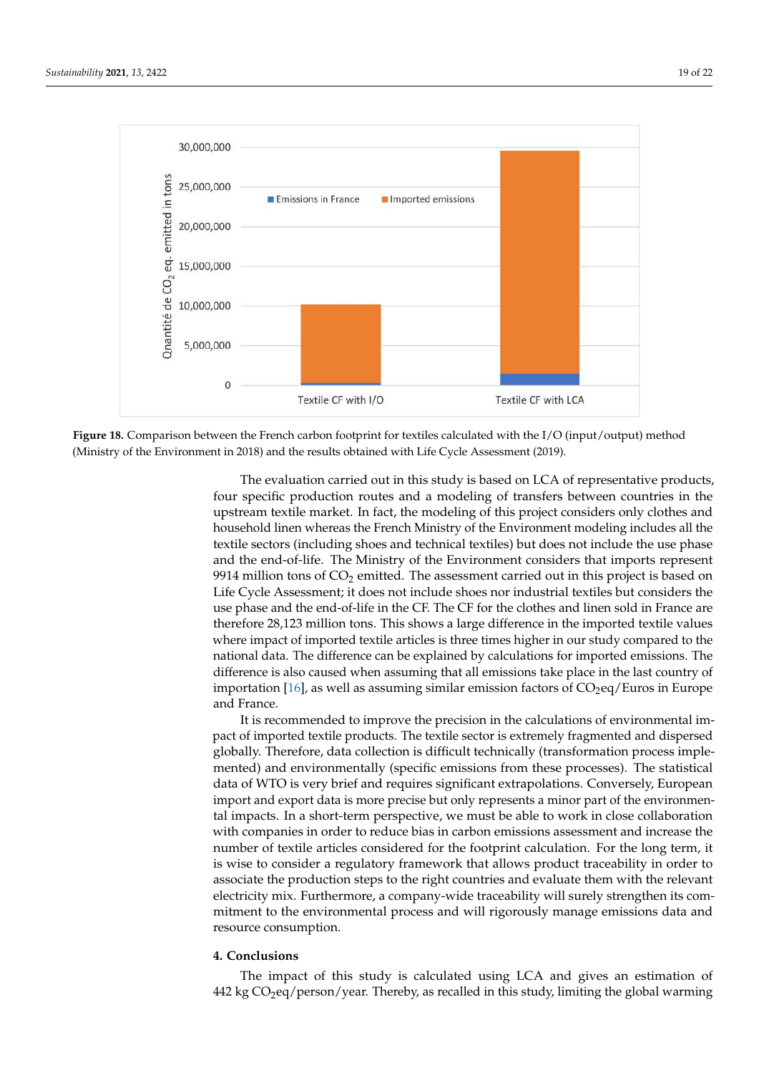<span id="page-18-0"></span>![](_page_18_Figure_2.jpeg)

**Figure 18.** Comparison between the French carbon footprint for textiles calculated with the I/O (input/output) method (Ministry of the Environment in 2018) and the results obtained with Life Cycle Assessment (2019).

The evaluation carried out in this study is based on LCA of representative products, four specific production routes and a modeling of transfers between countries in the upstream textile market. In fact, the modeling of this project considers only clothes and household linen whereas the French Ministry of the Environment modeling includes all the textile sectors (including shoes and technical textiles) but does not include the use phase and the end-of-life. The Ministry of the Environment considers that imports represent 9914 million tons of  $CO<sub>2</sub>$  emitted. The assessment carried out in this project is based on Life Cycle Assessment; it does not include shoes nor industrial textiles but considers the use phase and the end-of-life in the CF. The CF for the clothes and linen sold in France are therefore 28,123 million tons. This shows a large difference in the imported textile values where impact of imported textile articles is three times higher in our study compared to the national data. The difference can be explained by calculations for imported emissions. The difference is also caused when assuming that all emissions take place in the last country of importation [\[16\]](#page-20-14), as well as assuming similar emission factors of  $CO<sub>2</sub>$ eq/Euros in Europe and France.

It is recommended to improve the precision in the calculations of environmental impact of imported textile products. The textile sector is extremely fragmented and dispersed globally. Therefore, data collection is difficult technically (transformation process implemented) and environmentally (specific emissions from these processes). The statistical data of WTO is very brief and requires significant extrapolations. Conversely, European import and export data is more precise but only represents a minor part of the environmental impacts. In a short-term perspective, we must be able to work in close collaboration with companies in order to reduce bias in carbon emissions assessment and increase the number of textile articles considered for the footprint calculation. For the long term, it is wise to consider a regulatory framework that allows product traceability in order to associate the production steps to the right countries and evaluate them with the relevant electricity mix. Furthermore, a company-wide traceability will surely strengthen its commitment to the environmental process and will rigorously manage emissions data and resource consumption.

# **4. Conclusions**

The impact of this study is calculated using LCA and gives an estimation of  $442$  kg  $CO<sub>2</sub>$ eq/person/year. Thereby, as recalled in this study, limiting the global warming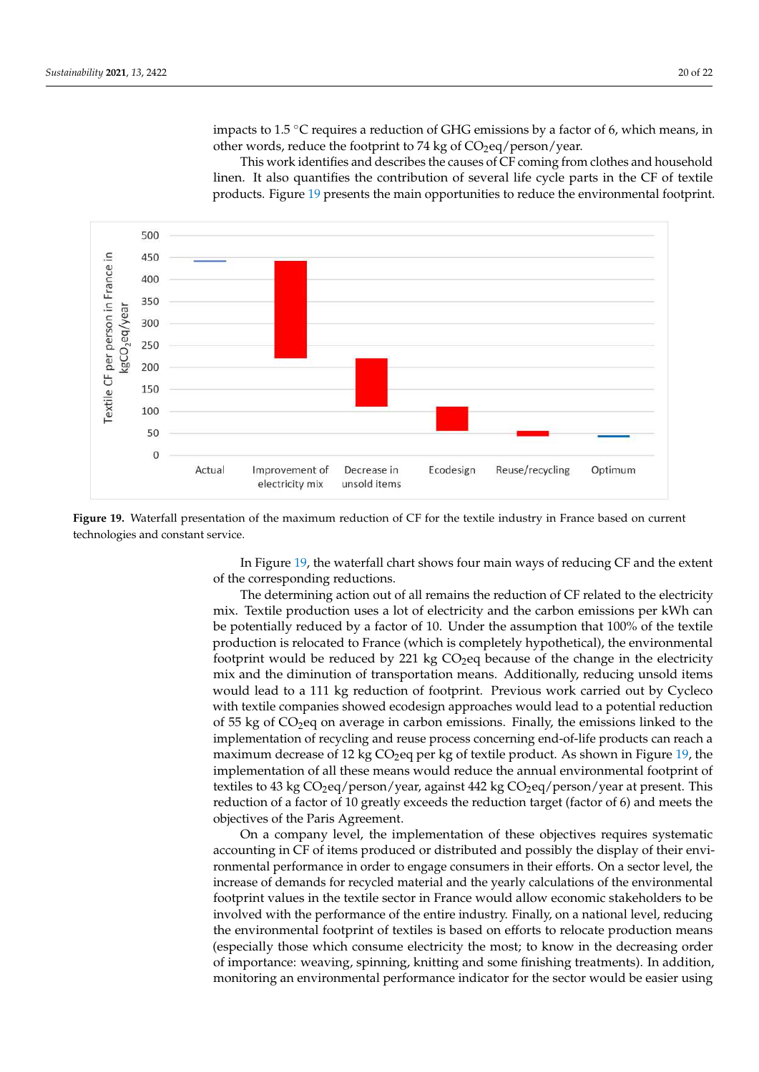This work identifies and describes the causes of CF coming from clothes and household linen. It also quantifies the contribution of several life cycle parts in the CF of textile products. Figure [19](#page-19-0) presents the main opportunities to reduce the environmental footprint.

<span id="page-19-0"></span>![](_page_19_Figure_3.jpeg)

**Figure 19.** Waterfall presentation of the maximum reduction of CF for the textile industry in France based on current technologies and constant service.

In Figure [19,](#page-19-0) the waterfall chart shows four main ways of reducing CF and the extent of the corresponding reductions.

The determining action out of all remains the reduction of CF related to the electricity mix. Textile production uses a lot of electricity and the carbon emissions per kWh can be potentially reduced by a factor of 10. Under the assumption that 100% of the textile production is relocated to France (which is completely hypothetical), the environmental footprint would be reduced by 221 kg  $CO<sub>2</sub>$ eq because of the change in the electricity mix and the diminution of transportation means. Additionally, reducing unsold items would lead to a 111 kg reduction of footprint. Previous work carried out by Cycleco with textile companies showed ecodesign approaches would lead to a potential reduction of 55 kg of  $CO<sub>2</sub>$ eq on average in carbon emissions. Finally, the emissions linked to the implementation of recycling and reuse process concerning end-of-life products can reach a maximum decrease of 12 kg  $CO<sub>2</sub>$ eq per kg of textile product. As shown in Figure [19,](#page-19-0) the implementation of all these means would reduce the annual environmental footprint of textiles to 43 kg  $CO<sub>2</sub>$ eq/person/year, against 442 kg  $CO<sub>2</sub>$ eq/person/year at present. This reduction of a factor of 10 greatly exceeds the reduction target (factor of 6) and meets the objectives of the Paris Agreement.

On a company level, the implementation of these objectives requires systematic accounting in CF of items produced or distributed and possibly the display of their environmental performance in order to engage consumers in their efforts. On a sector level, the increase of demands for recycled material and the yearly calculations of the environmental footprint values in the textile sector in France would allow economic stakeholders to be involved with the performance of the entire industry. Finally, on a national level, reducing the environmental footprint of textiles is based on efforts to relocate production means (especially those which consume electricity the most; to know in the decreasing order of importance: weaving, spinning, knitting and some finishing treatments). In addition, monitoring an environmental performance indicator for the sector would be easier using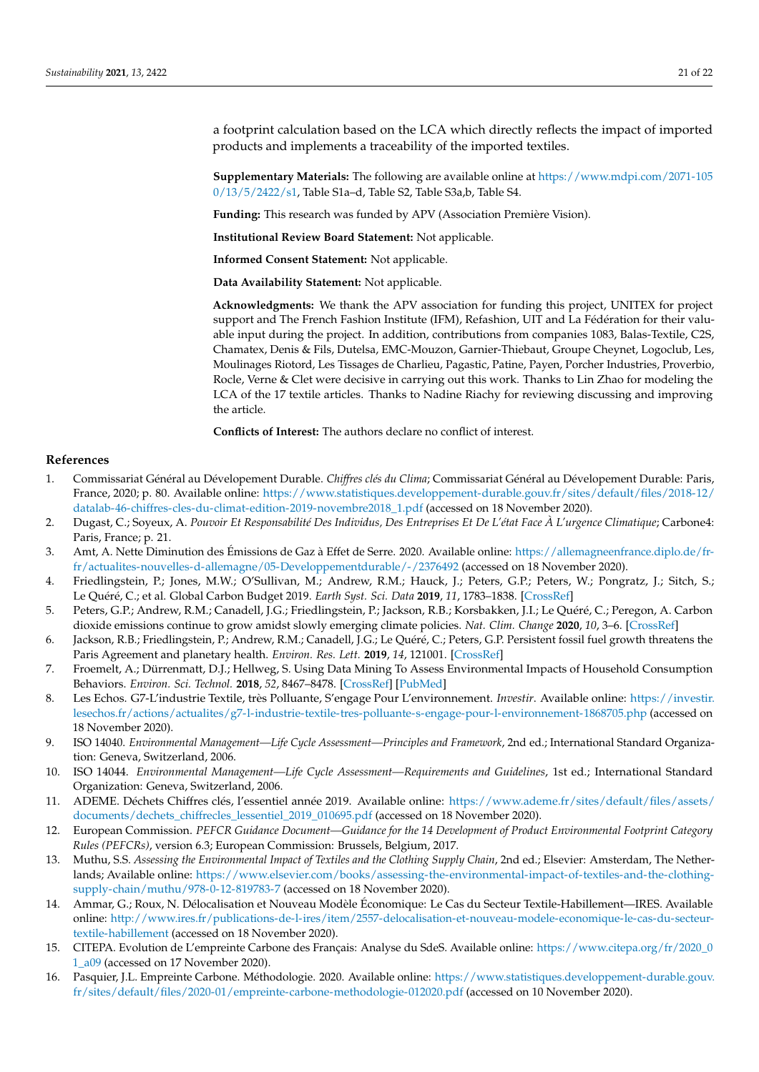a footprint calculation based on the LCA which directly reflects the impact of imported products and implements a traceability of the imported textiles.

**Supplementary Materials:** The following are available online at [https://www.mdpi.com/2071-105](https://www.mdpi.com/2071-1050/13/5/2422/s1) [0/13/5/2422/s1,](https://www.mdpi.com/2071-1050/13/5/2422/s1) Table S1a–d, Table S2, Table S3a,b, Table S4.

**Funding:** This research was funded by APV (Association Première Vision).

**Institutional Review Board Statement:** Not applicable.

**Informed Consent Statement:** Not applicable.

**Data Availability Statement:** Not applicable.

**Acknowledgments:** We thank the APV association for funding this project, UNITEX for project support and The French Fashion Institute (IFM), Refashion, UIT and La Fédération for their valuable input during the project. In addition, contributions from companies 1083, Balas-Textile, C2S, Chamatex, Denis & Fils, Dutelsa, EMC-Mouzon, Garnier-Thiebaut, Groupe Cheynet, Logoclub, Les, Moulinages Riotord, Les Tissages de Charlieu, Pagastic, Patine, Payen, Porcher Industries, Proverbio, Rocle, Verne & Clet were decisive in carrying out this work. Thanks to Lin Zhao for modeling the LCA of the 17 textile articles. Thanks to Nadine Riachy for reviewing discussing and improving the article.

**Conflicts of Interest:** The authors declare no conflict of interest.

#### **References**

- <span id="page-20-0"></span>1. Commissariat Général au Dévelopement Durable. *Chiffres clés du Clima*; Commissariat Général au Dévelopement Durable: Paris, France, 2020; p. 80. Available online: [https://www.statistiques.developpement-durable.gouv.fr/sites/default/files/2018-12/](https://www.statistiques.developpement-durable.gouv.fr/sites/default/files/2018-12/datalab-46-chiffres-cles-du-climat-edition-2019-novembre2018_1.pdf) [datalab-46-chiffres-cles-du-climat-edition-2019-novembre2018\\_1.pdf](https://www.statistiques.developpement-durable.gouv.fr/sites/default/files/2018-12/datalab-46-chiffres-cles-du-climat-edition-2019-novembre2018_1.pdf) (accessed on 18 November 2020).
- <span id="page-20-1"></span>2. Dugast, C.; Soyeux, A. *Pouvoir Et Responsabilité Des Individus, Des Entreprises Et De L'état Face À L'urgence Climatique*; Carbone4: Paris, France; p. 21.
- <span id="page-20-2"></span>3. Amt, A. Nette Diminution des Émissions de Gaz à Effet de Serre. 2020. Available online: [https://allemagneenfrance.diplo.de/fr](https://allemagneenfrance.diplo.de/fr-fr/actualites-nouvelles-d-allemagne/05-Developpementdurable/-/2376492)[fr/actualites-nouvelles-d-allemagne/05-Developpementdurable/-/2376492](https://allemagneenfrance.diplo.de/fr-fr/actualites-nouvelles-d-allemagne/05-Developpementdurable/-/2376492) (accessed on 18 November 2020).
- <span id="page-20-3"></span>4. Friedlingstein, P.; Jones, M.W.; O'Sullivan, M.; Andrew, R.M.; Hauck, J.; Peters, G.P.; Peters, W.; Pongratz, J.; Sitch, S.; Le Quéré, C.; et al. Global Carbon Budget 2019. *Earth Syst. Sci. Data* **2019**, *11*, 1783–1838. [\[CrossRef\]](http://doi.org/10.5194/essd-11-1783-2019)
- 5. Peters, G.P.; Andrew, R.M.; Canadell, J.G.; Friedlingstein, P.; Jackson, R.B.; Korsbakken, J.I.; Le Quéré, C.; Peregon, A. Carbon dioxide emissions continue to grow amidst slowly emerging climate policies. *Nat. Clim. Change* **2020**, *10*, 3–6. [\[CrossRef\]](http://doi.org/10.1038/s41558-019-0659-6)
- <span id="page-20-4"></span>6. Jackson, R.B.; Friedlingstein, P.; Andrew, R.M.; Canadell, J.G.; Le Quéré, C.; Peters, G.P. Persistent fossil fuel growth threatens the Paris Agreement and planetary health. *Environ. Res. Lett.* **2019**, *14*, 121001. [\[CrossRef\]](http://doi.org/10.1088/1748-9326/ab57b3)
- <span id="page-20-5"></span>7. Froemelt, A.; Dürrenmatt, D.J.; Hellweg, S. Using Data Mining To Assess Environmental Impacts of Household Consumption Behaviors. *Environ. Sci. Technol.* **2018**, *52*, 8467–8478. [\[CrossRef\]](http://doi.org/10.1021/acs.est.8b01452) [\[PubMed\]](http://www.ncbi.nlm.nih.gov/pubmed/29933691)
- <span id="page-20-6"></span>8. Les Echos. G7-L'industrie Textile, très Polluante, S'engage Pour L'environnement. *Investir*. Available online: [https://investir.](https://investir.lesechos.fr/actions/actualites/g7-l-industrie-textile-tres-polluante-s-engage-pour-l-environnement-1868705.php) [lesechos.fr/actions/actualites/g7-l-industrie-textile-tres-polluante-s-engage-pour-l-environnement-1868705.php](https://investir.lesechos.fr/actions/actualites/g7-l-industrie-textile-tres-polluante-s-engage-pour-l-environnement-1868705.php) (accessed on 18 November 2020).
- <span id="page-20-7"></span>9. ISO 14040. *Environmental Management—Life Cycle Assessment—Principles and Framework*, 2nd ed.; International Standard Organization: Geneva, Switzerland, 2006.
- <span id="page-20-8"></span>10. ISO 14044. *Environmental Management—Life Cycle Assessment—Requirements and Guidelines*, 1st ed.; International Standard Organization: Geneva, Switzerland, 2006.
- <span id="page-20-9"></span>11. ADEME. Déchets Chiffres clés, l'essentiel année 2019. Available online: [https://www.ademe.fr/sites/default/files/assets/](https://www.ademe.fr/sites/default/files/assets/documents/dechets_chiffrecles_lessentiel_2019_010695.pdf) [documents/dechets\\_chiffrecles\\_lessentiel\\_2019\\_010695.pdf](https://www.ademe.fr/sites/default/files/assets/documents/dechets_chiffrecles_lessentiel_2019_010695.pdf) (accessed on 18 November 2020).
- <span id="page-20-10"></span>12. European Commission. *PEFCR Guidance Document—Guidance for the 14 Development of Product Environmental Footprint Category Rules (PEFCRs)*, version 6.3; European Commission: Brussels, Belgium, 2017.
- <span id="page-20-11"></span>13. Muthu, S.S. *Assessing the Environmental Impact of Textiles and the Clothing Supply Chain*, 2nd ed.; Elsevier: Amsterdam, The Netherlands; Available online: [https://www.elsevier.com/books/assessing-the-environmental-impact-of-textiles-and-the-clothing](https://www.elsevier.com/books/assessing-the-environmental-impact-of-textiles-and-the-clothing-supply-chain/muthu/978-0-12-819783-7)[supply-chain/muthu/978-0-12-819783-7](https://www.elsevier.com/books/assessing-the-environmental-impact-of-textiles-and-the-clothing-supply-chain/muthu/978-0-12-819783-7) (accessed on 18 November 2020).
- <span id="page-20-12"></span>14. Ammar, G.; Roux, N. Délocalisation et Nouveau Modèle Économique: Le Cas du Secteur Textile-Habillement—IRES. Available online: [http://www.ires.fr/publications-de-l-ires/item/2557-delocalisation-et-nouveau-modele-economique-le-cas-du-secteur](http://www.ires.fr/publications-de-l-ires/item/2557-delocalisation-et-nouveau-modele-economique-le-cas-du-secteur-textile-habillement)[textile-habillement](http://www.ires.fr/publications-de-l-ires/item/2557-delocalisation-et-nouveau-modele-economique-le-cas-du-secteur-textile-habillement) (accessed on 18 November 2020).
- <span id="page-20-13"></span>15. CITEPA. Evolution de L'empreinte Carbone des Français: Analyse du SdeS. Available online: [https://www.citepa.org/fr/2020\\_0](https://www.citepa.org/fr/2020_01_a09) [1\\_a09](https://www.citepa.org/fr/2020_01_a09) (accessed on 17 November 2020).
- <span id="page-20-14"></span>16. Pasquier, J.L. Empreinte Carbone. Méthodologie. 2020. Available online: [https://www.statistiques.developpement-durable.gouv.](https://www.statistiques.developpement-durable.gouv.fr/sites/default/files/2020-01/empreinte-carbone-methodologie-012020.pdf) [fr/sites/default/files/2020-01/empreinte-carbone-methodologie-012020.pdf](https://www.statistiques.developpement-durable.gouv.fr/sites/default/files/2020-01/empreinte-carbone-methodologie-012020.pdf) (accessed on 10 November 2020).